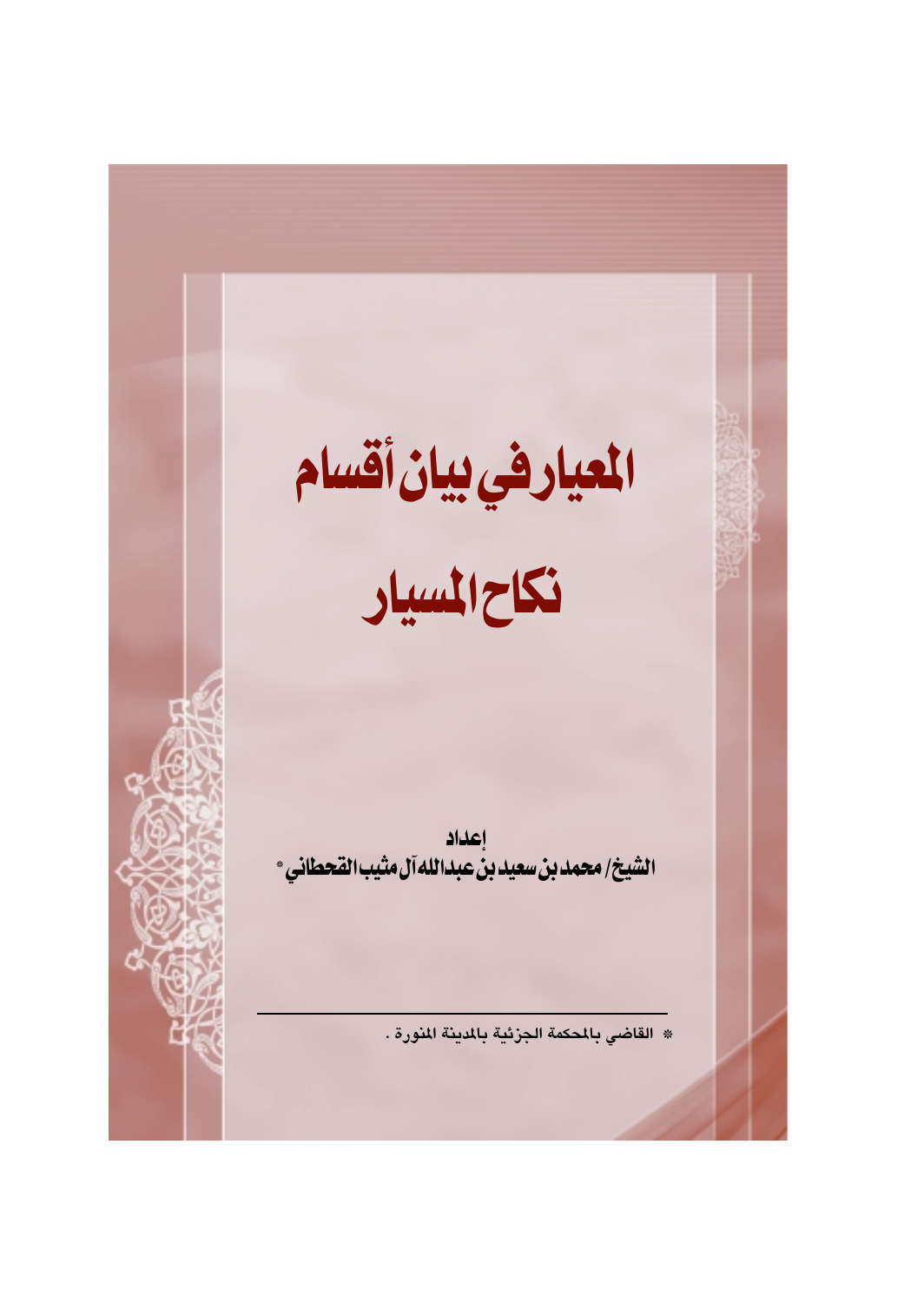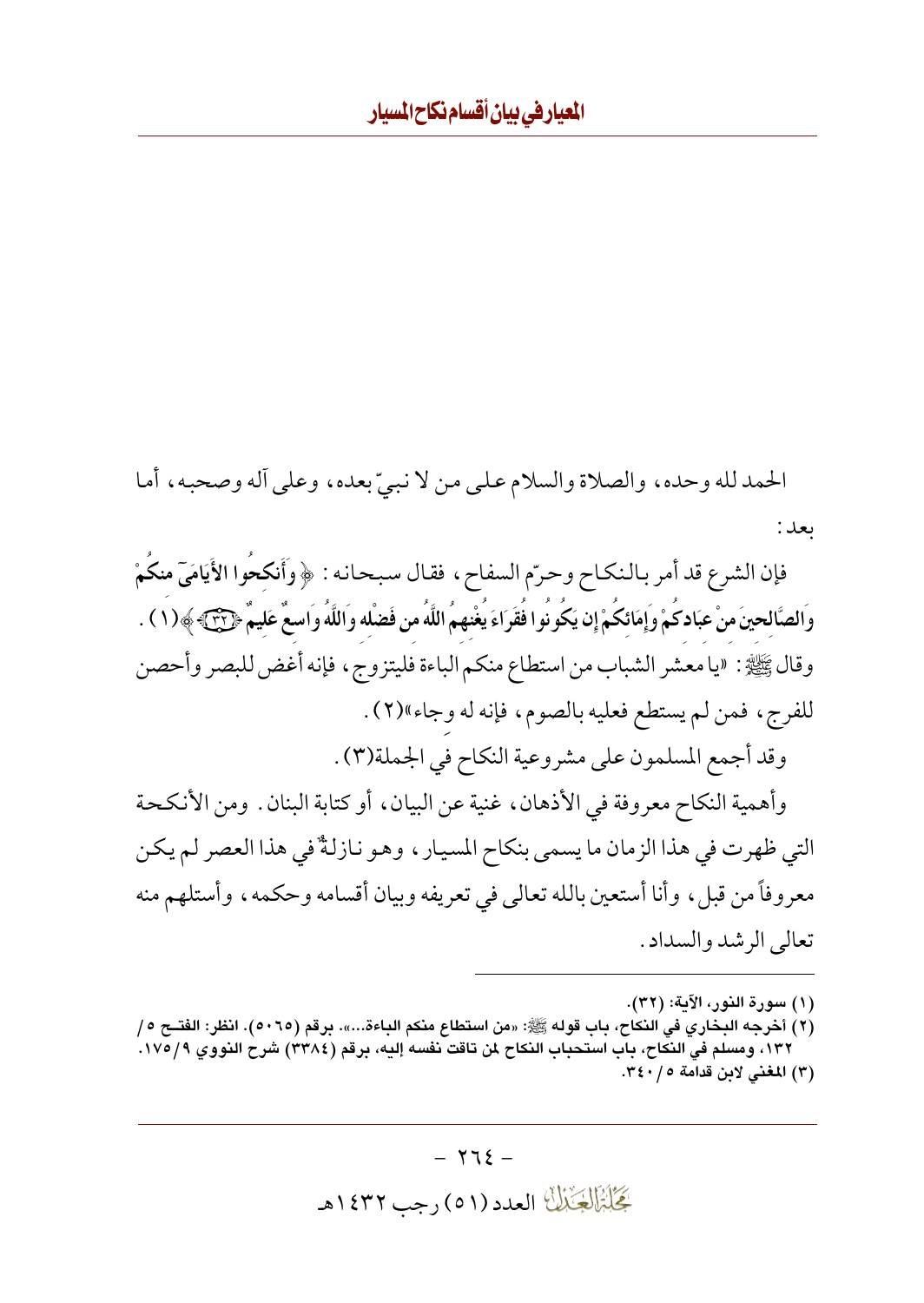الحمد لله وحده، والصلاة والسلام على من لا نبيِّ بعده، وعلى أله وصحبه، أما بعد :

فإن الشرع قد أمر بالنكاح وحرّم السفاح، فقال سبحانه : ﴿ وَأَنكحُوا الأَيَامَيّ منكُمْ وَالصَّالحينَ منْ عبَادكَمْ وَإِمَائكَمْ إِن يَكُونُوا فُقَرَاءَ يُغْنهمُ اللَّهُ من فَضْله وَاللَّهُ واسعٌ عَليمٌ ﴿لَّ ۖ ﴾ ( ١ ) . وقال ﷺ: «يا معشر الشباب من استطاع منكم الباءة فليتزوج، فإنه أغض للبصر وأحصن للفرج، فمن لم يستطع فعليه بالصوم، فإنه له وجاء»(٢). وقد أجمع المسلمون على مشروعية النكاح في الجملة(٣) .

وأهمية النكاح معروفة في الأذهان، غنية عن البيان، أو كتابة البنان. ومن الأنكحة التي ظهرت في هذا الزمان ما يسمى بنكاح المسيار ، وهو نازلةٌ في هذا العصر لم يكن معروفاً من قبل، وأنا أستعين بالله تعالى في تعريفه وبيان أقسامه وحكمه، وأستلهم منه تعالى الرشد والسداد .

(١) سورة النور، الآية: (٣٢).

(٢) أخرجه البخاري في النكاح، باب قوله ﷺ: «من استطاع منكم الباءة...». برقم (٥٠٦٥). انظر: الفتــح ٥/ ١٣٢، ومسلم في النكاح، باب استحباب النكاح لمن تاقت نفسه إليه، برقم (٣٣٨٤) شرح النووي ١٧٥/٩. (٣) المغنى لابن قدامة ٢٤٠/٥.

بَحَلَّةَ الْجَنْالُ العدد (٥١) رجب ١٤٣٢هـ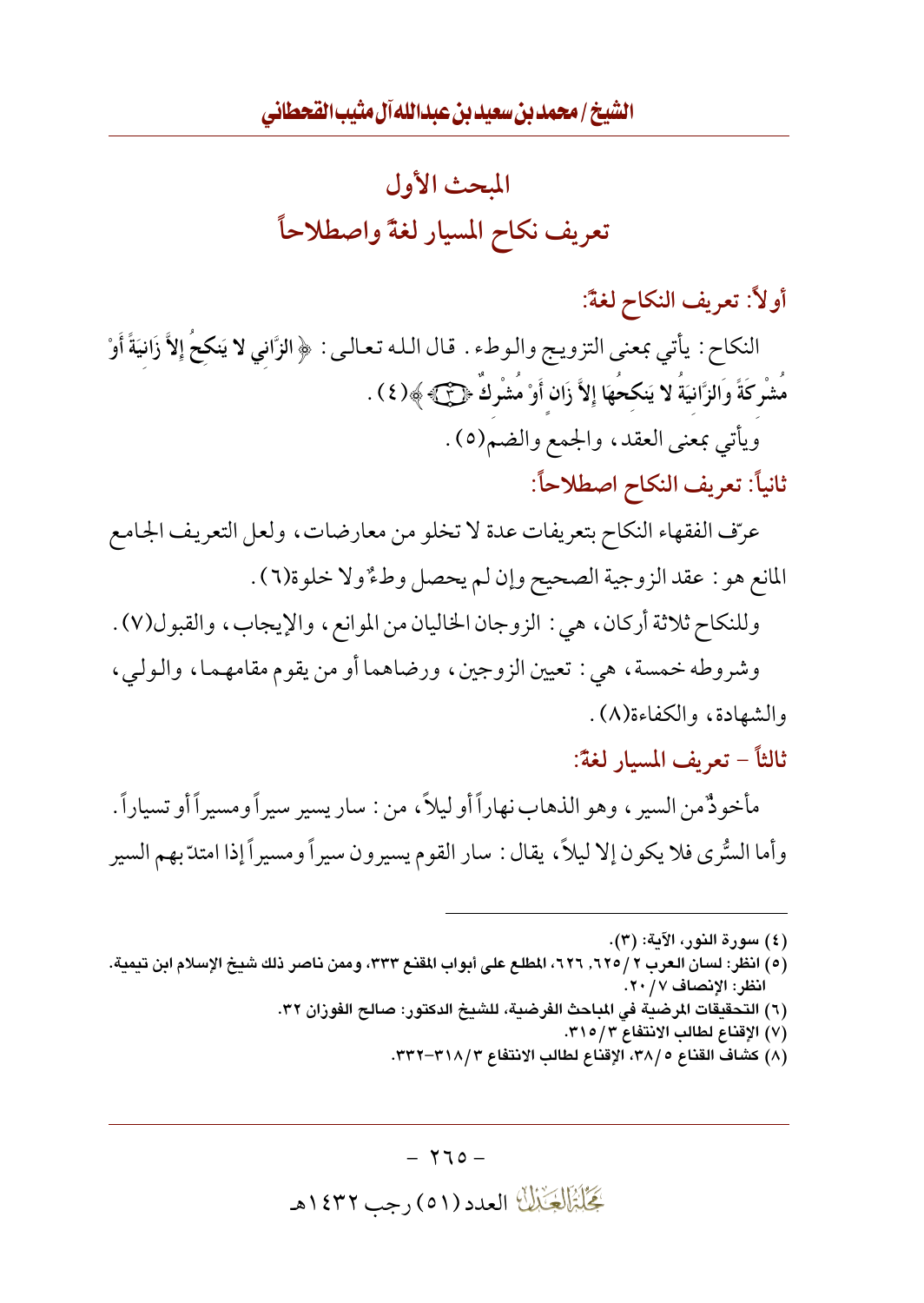

أولاً: تعريف النكاح لغةً:

النكاح : يأتي بمعنى التزويج والوطء . قال الله تعالى : ﴿ الزَّانِي لا يَنكحُ إِلاَّ زَانيَةً أَوْ مَشْرِكَةً وَالزَّانِيَةُ لا يَنكحُهَا إِلاَّ زَانٍ أَوْ مَشْرِكَ ﴿لَّى ﴾ ﴾( ٤ ) . ويأتي بمعنى العقد، والجمع والضم(٥).

ثانياً: تعريف النكاح اصطلاحاً:

عرّف الفقهاء النكاح بتعريفات عدة لا تخلو من معارضات، ولعل التعريف الجامع المانع هو : عقد الزوجية الصحيح وإن لم يحصل وطُّ ولا خلوة(٦) .

وللنكاح ثلاثة أركان، هي : الزوجان الخاليان من الموانع، والإيجاب، والقبول(٧) . وشروطه خمسة، هي : تعيين الزوجين، ورضاهما أو من يقوم مقامهما، والـولـي،

- والشهادة، والكفاءة(٨).
- ثالثاً تعريف المسار لغةً:

مأخو ذُمن السير ، وهو الذهاب نهار أأو ليلاً ، من : سار يسير سير أومسير أأو تسياراً . وأما السُّرى فلا يكون إلا ليلاً، يقال : سار القوم يسيرون سيراً ومسيراً إذا امتدّ بهم السير

(٤) سورة النور، الآية: (٣).

(٥) انظر: لسان العرب ٢ / ٦٢٥. ٦٢٦، المطلع على أبواب المقنع ٣٣٣، وممن ناصر ذلك شيخ الإسلام ابن تيمية. انظر: الإنصاف ٢٠/٧.

- (٦) التحقيقات المرضية في المباحث الفرضية، للشيخ الدكتور: صالح الفوران ٣٢.
	- (٧) الإقناع لطالب الانتفاع ٣١٥/٣.
	- (٨) كشاف القناع ٣٨/٥، الإقناع لطالب الانتفاع ٣١٨/٣–٣٣٢.

گِخَلِبْزَالِچَنْبُلُّ العدد (٥١) رجب ١٤٣٢هـ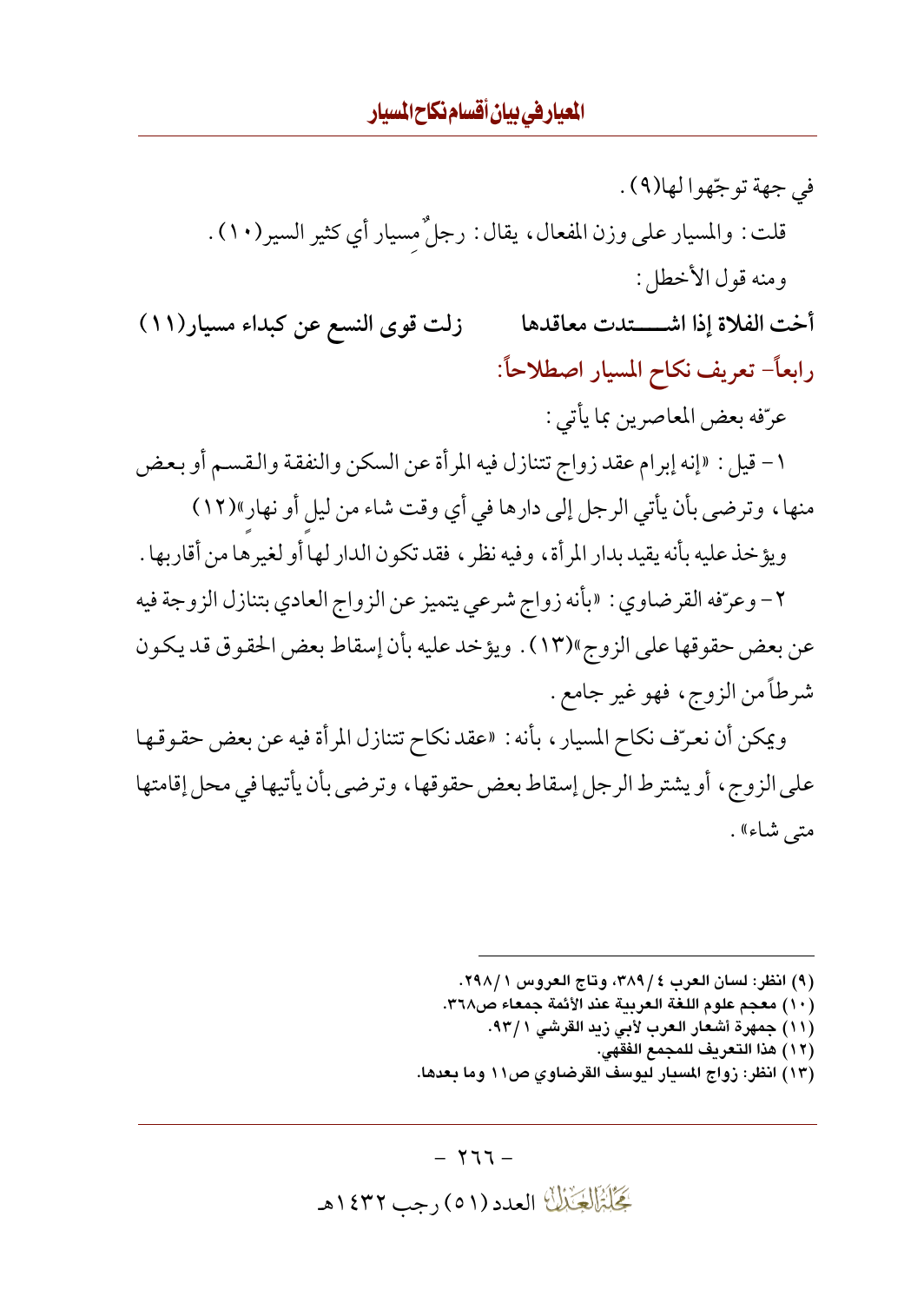في جهة توجّهوا لها(٩) . قلت : والمسيار على وزن المفعال ، يقال : رجلٌ مسيار أي كثير السير(١٠) . ومنه قول الأخطل: أخت الفلاة إذا اشتعدت معاقدها زلت قوى النسع عن كبداء مسيار (١١) رابعاً- تعريف نكاح المسيار اصطلاحاً: عرّفه بعض المعاصرين بما يأتي : ١ – قيل : «إنه إبرام عقد زواج تتنازل فيه المرأة عن السكن والنفقة والقسم أو بعض منها، وترضى بأن يأتي الرجل إلى دارها في أي وقت شاء من ليل أو نهار»(١٢) ويؤخذ عليه بأنه يقيد بدار المرأة، وفيه نظرٍ، فقد تكون الدار لها أو لغيرها من أقاربها . ٢- وعرّفه القرضاوي : «بأنه زواج شرعي يتميز عن الزواج العادي بتنازل الزوجة فيه عن بعض حقوقها على الزوج»(١٣) . ويؤخد عليه بأن إسقاط بعض الحقوق قد يكون شرطاً من الزوج، فهو غير جامع . ويمكن أن نعرّف نكاح المسيار ، بأنه : «عقد نكاح تتنازل المرأة فيه عن بعض حقوقها

على الزوج، أو يشتر ط الر جل إسقاط بعض حقوقها، وتر ضي بأن يأتيها في محل إقامتها متى شاء» .

> (٩) انظر: لسان العرب ٤ / ٣٨٩، وتاج العروس ١ / ٢٩٨. (١٠) معجم علوم اللغة العربية عند الأئمة جمعاء ص٣٦٨. (١١) جمهرة أشعار العرب لأبي زيد القرشي ٩٣/١. (١٢) هذا التعريف للمجمع الفقهي. (١٣) انظر: زواج المسيار ليوسف القرضاوي ص١١ وما بعدها.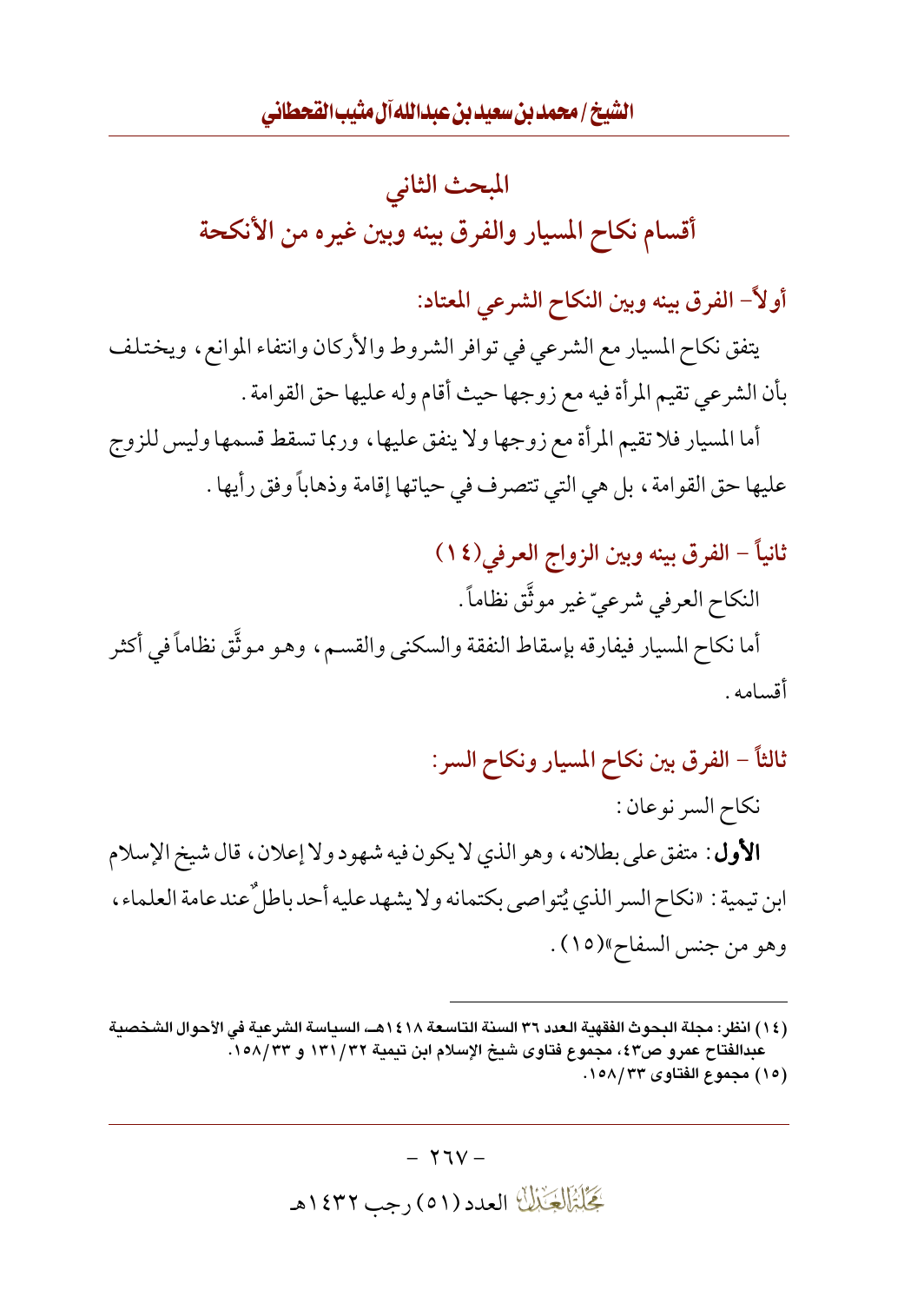

أولاً– الفرق بينه وبين النكاح الشرعي المعتاد:

يتفق نكاح المسيار مع الشرعي في توافر الشروط والأركان وانتفاء الموانع، ويختلف بأن الشرعي تقيم المرأة فيه مع زوجها حيث أقام وله عليها حق القوامة .

أما المسيار فلا تقيم المرأة مع زوجها ولا ينفق عليها ، وربما تسقط قسمها وليس للزوج عليها حق القوامة ، بل هي التي تتصرف في حياتها إقامة وذهاباً وفق رأيها .

## ثانياً – الفرق بينه وبين الزواج العرفي(١٤)

النكاح العرفي شرعيّ غير موثَّق نظاماً . أما نكاح المسيار فيفارقه بإسقاط النفقة والسكني والقسم، وهو موثَّق نظاماً في أكثر أقسامه .

ثالثاً – الفرق بين نكاح المسيار ونكاح السر: نكاح السر نوعان: **الأول** : متفق على بطلانه ، وهو الذي لا يكون فيه شهود ولا إعلان ، قال شيخ الإسلام ابن تيمية : «نكاح السر الذي يُتو اصبي بكتمانه و لا يشهد عليه أحد باطلٌ عند عامة العلماء ، وهو من جنس السفاح»(١٥).

 $- Y \mathfrak{V} V -$ 

بَحَلْبَزَالِجَيْبَالَ العدد (٥١) رجب ١٤٣٢هـ

<sup>(</sup>١٤) انظر: مجلة البحوث الفقهبة العدد ٣٦ السنة التاسعة ١٤١٨هــ، السباسة الشرعبة في الأحوال الشخصبة عبدالفتاح عمرو ص٤٣، مجموع فتاوى شيخ الإسلام ابن تيمية ١٣١/٣٢ و ١٥٨/٣٣. (١٥) مجموع الفتاوى ١٥٨/٣٣.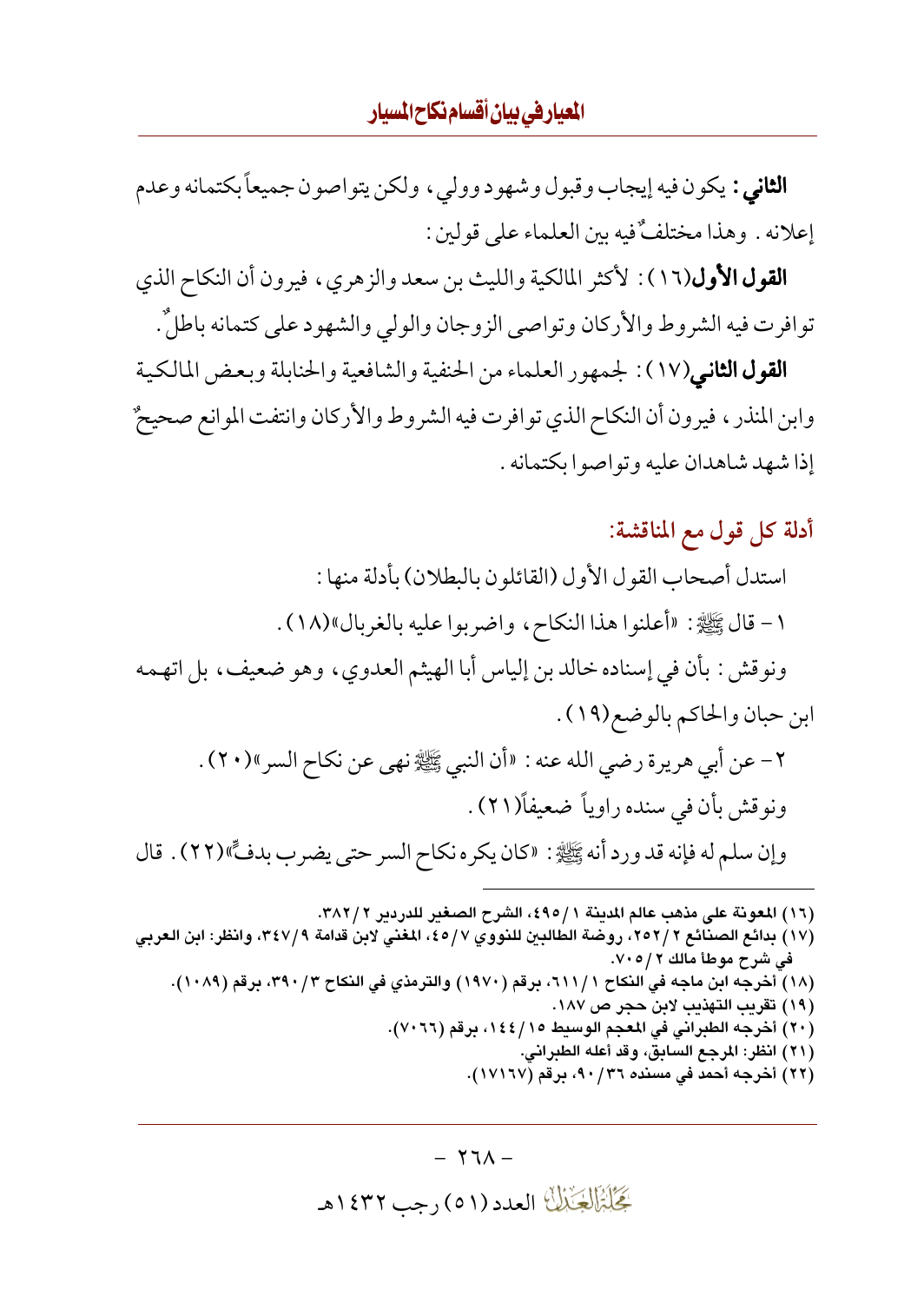**الثاني :** يكون فيه إيجاب وقبول وشهود وولى ، ولكن يتواصون جميعاً بكتمانه وعدم إعلانه . وهذا مختلفٌ فيه بين العلماء على قولين :

**القول الأول**(١٦) : لأكثر المالكية والليث بن سعد والزهري، فيرون أن النكاح الذي توافرت فيه الشروط والأركان وتواصى الزوجان والولى والشهود على كتمانه باطلٌ.

**القول الثاني**(١٧) : لجمهور العلماء من الحنفية والشافعية والحنابلة وبعض المالكية وابن المنذر ، فيرون أن النكاح الذي توافرت فيه الشروط والأركان وانتفت الموانع صحيحٌ إذا شهد شاهدان عليه وتواصوا بكتمانه .

أدلة كل قول مع المناقشة: استدل أصحاب القول الأول (القائلون بالبطلان) بأدلة منها : ١- قال ﷺ: «أعلنوا هذا النكاح، واضربوا عليه بالغربال»(١٨). ونوقش : بأن في إسناده خالد بن إلياس أبا الهيثم العدوى ، وهو ضعيف ، بل اتهـمه ابن حبان والحاكم بالوضع(١٩). ٢ – عن أبي هريرة رضي الله عنه : «أن النبي ﷺ نهي عن نكاح السر»(٢٠) . ونوقش بأن في سنده راوياً ضعيفاً(٢١). وإن سلم له فإنه قد ورد أنه ﷺ: «كان يكره نكاح السر حتى يضرب بدفٍّ»(٢٢) . قال

(١٦) المعونة على مذهب عالم المدينة ٤٩٥/١، الشرح الصغير للدردير ٣٨٢/٢.

(١٧) بدائع الصنائع ٢٥٢/٢، روضة الطالبين للنووي ٤٥/٧، المغني لابن قدامة ٣٤٧/٩، وانظر: ابن العربي في شرح موطأ مالك ٧٠٥/ ٧٠٥. (١٨) أخرجه ابن ماجه في النكاح ١١١/١، برقم (١٩٧٠) والترمذي في النكاح ٣٩٠/٣، برقم (١٠٨٩). (١٩) تقريب التهذيب لابن حجر ص ١٨٧. (٢٠) أخرجه الطبراني في المعجم الوسيط ١٤٤/١٤٤، برقم (٢٠٦٦). (٢١) انظر: المرجع السابق، وقد أعله الطبراني. (٢٢) أخرجه أحمد في مسنده ٩٠/٣٦، برقم (١٧١٦٧).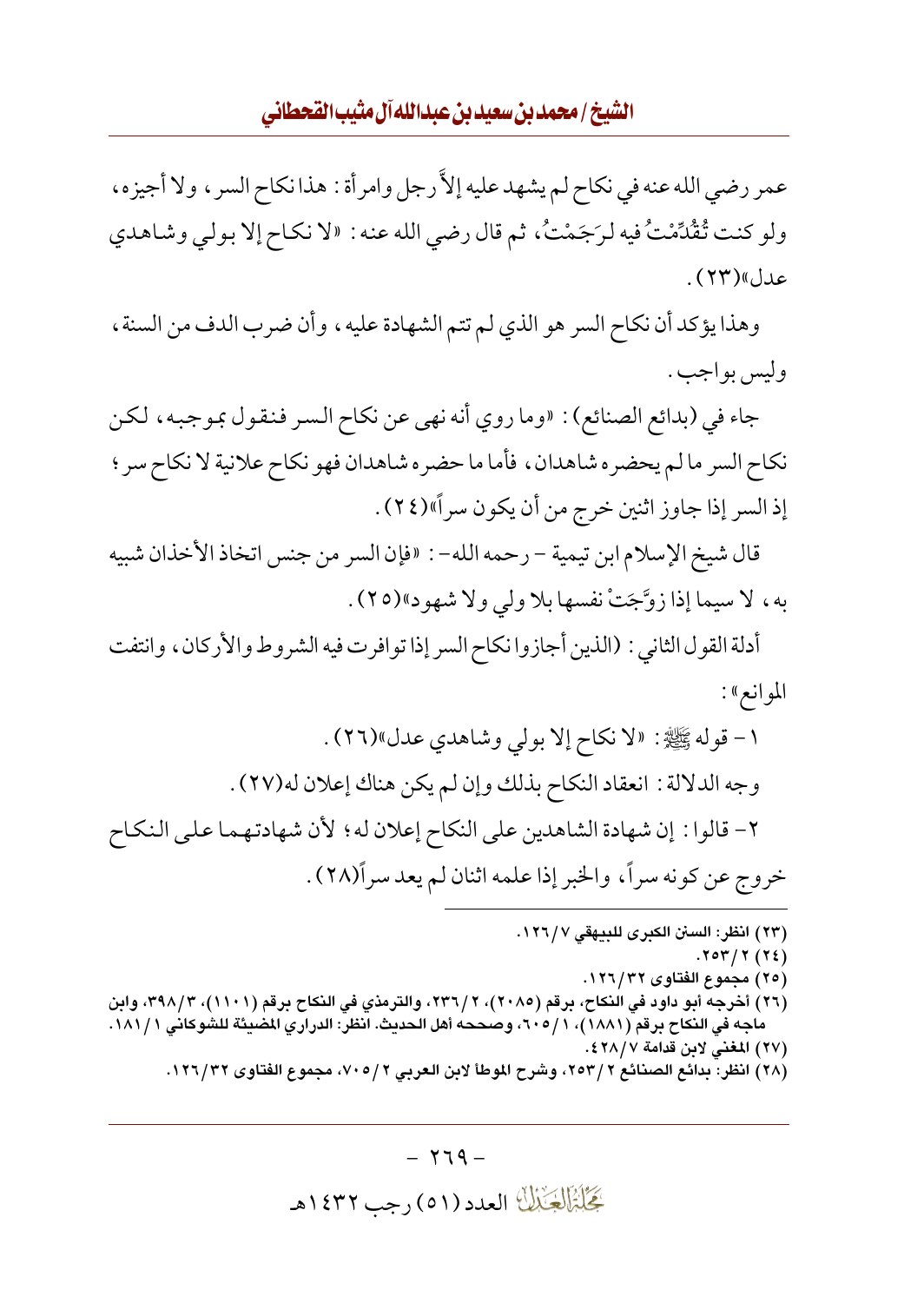عمر رضي الله عنه في نكاح لم يشهد عليه إلاَّ رجل وامرأة : هذا نكاح السر ، ولا أجيزه، ولو كنت تُقْدِّمْتُ فيه لرَجَمْتُ، ثم قال رضي الله عنه : «لا نكاح إلا بولي وشاهدي عدل»(۲۳).

وهذا يؤكد أن نكاح السر هو الذي لم تتم الشهادة عليه، وأن ضرب الدف من السنة، وليس بواجب .

جاء في (بدائع الصنائع) : «وما روي أنه نهى عن نكاح السر فنقول بموجبه ، لكن نكاح السر ما لم يحضره شاهدان، فأما ما حضره شاهدان فهو نكاح علانية لا نكاح سر ؛ إذ السر إذا جاوز اثنين خرج من أن يكون سراً»(٢٤).

قال شيخ الإسلام ابن تيمية – رحمه الله– : «فإن السر من جنس اتخاذ الأخذان شبيه به، لا سيما إذا زوَّجَتْ نفسها بلا ولي ولا شهود»(٢٥).

أدلة القول الثاني : (الذين أجازوا نكاح السر إذا تو افرت فيه الشر وط والأركان ، وانتفت الموانع»:

١- قوله ﷺ: «لا نكاح إلا بولي وشاهدي عدل»(٢٦). وجه الدلالة : انعقاد النكاح بذلك وإن لم يكن هناك إعلان له(٢٧) . ٢- قالوا : إن شهادة الشاهدين على النكاح إعلان له ؛ لأن شهادتهما على النكاح خروج عن كونه سراً، والخبر إذا علمه اثنان لم يعد سراً(٢٨) .

(٢٣) انظر: السنن الكبرى للبيهقي ١٢٦/٧.  $.704/7(72)$ (٢٥) مجموع الفتاوى ١٢٦/٣٢. (٢٦) أخرجه أبو داود في النكاح، برقم (٢٠٨٥)، ٢/ ٢٣٦، والترمذي في النكاح برقم (١١٠١)، ٣٩٨/٣، وابن ماجه في النكاح برقم (١٨٨١)، ١/ ٦٠٥، وصححه أهل الحديث. انظر: الدراري المضيئة للشوكاني ١٨١/١. (٢٧) المغني لابن قدامة ٢٨/٧٤.

(٢٨) انظر: بدائع الصنائع ٢ /٢٥٣، وشرح الموطأ لابن العربي ٢ /٧٠٥، مجموع الفتاوى ١٢٦/٣٢.

 $- YI9 -$ گِخَلِبْزَالِچَنْبُلُّ العدد (٥١) رجب ١٤٣٢هـ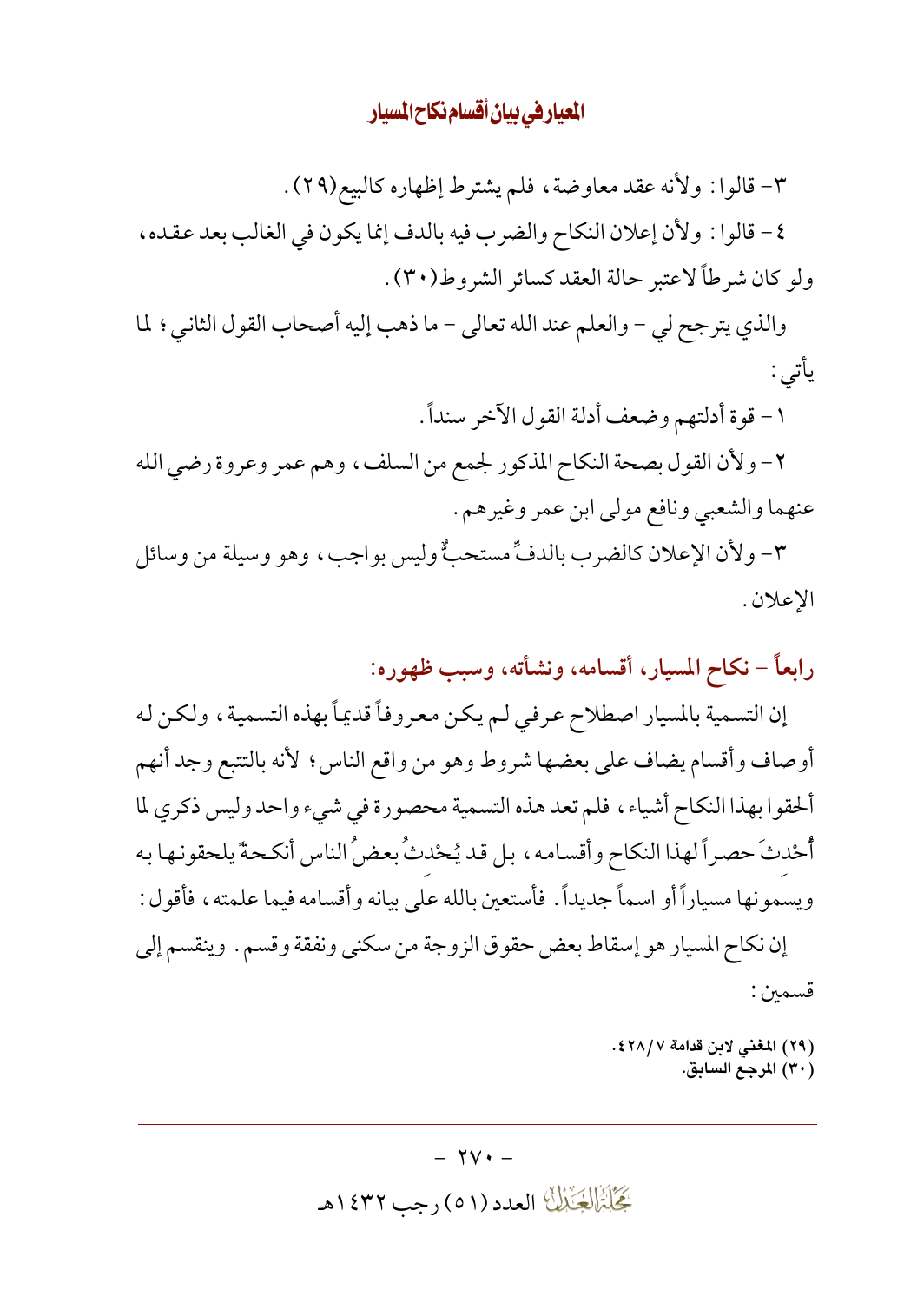٣- قالوا : ولأنه عقد معاوضة، فلم يشترط إظهاره كالبيع(٢٩). ٤- قالوا: ولأن إعلان النكاح والضرب فيه بالدف إنما يكون في الغالب بعد عقده، ولو كان شرطاً لاعتبر حالة العقد كسائر الشروط(٣٠).

والذي يترجح لي - والعلم عند الله تعالى - ما ذهب إليه أصحاب القول الثاني؛ لما يأتي :

١- قوة أدلتهم وضعف أدلة القول الآخر سنداً .

٢- ولأن القول بصحة النكاح المذكور لجمع من السلف، وهم عمر وعروة رضي الله عنهما والشعبي ونافع مولى ابن عمر وغيرهم .

٣- ولأن الإعلان كالضرب بالدفِّ مستحبٌّ وليس بواجب، وهو وسيلة من وسائل الإعلان .

رابعاً – نكاح المسيار، أقسامه، ونشأته، وسبب ظهوره:

إن التسمية بالمسيار اصطلاح عرفي لـم يكن معروفاً قديماً بهذه التسمية، ولكن له أوصاف وأقسام يضاف على بعضها شروط وهو من واقع الناس؟ لأنه بالتتبع وجد أنهم ألحقوا بهذا النكاح أشياء، فلم تعد هذه التسمية محصورة في شيء واحد وليس ذكري لما أُحْدثَ حصراً لهذا النكاح وأقسامه، بل قد يُحْدثُ بعض ُ الناس أنكحةً يلحقونها به ويسمونها مسياراً أو اسماً جديداً . فأستعين بالله على بيانه وأقسامه فيما علمته ، فأقول : إن نكاح المسيار هو إسقاط بعض حقوق الزوجة من سكني ونفقة وقسم . وينقسم إلى

قسمين :

(٢٩) المغنى لابن قدامة ٢٨/٧٤.

(٣٠) المرجع السابق.

گَجَلَبْزَالِکِنْمِالَ العدد (٥١) رجب ١٤٣٢هـ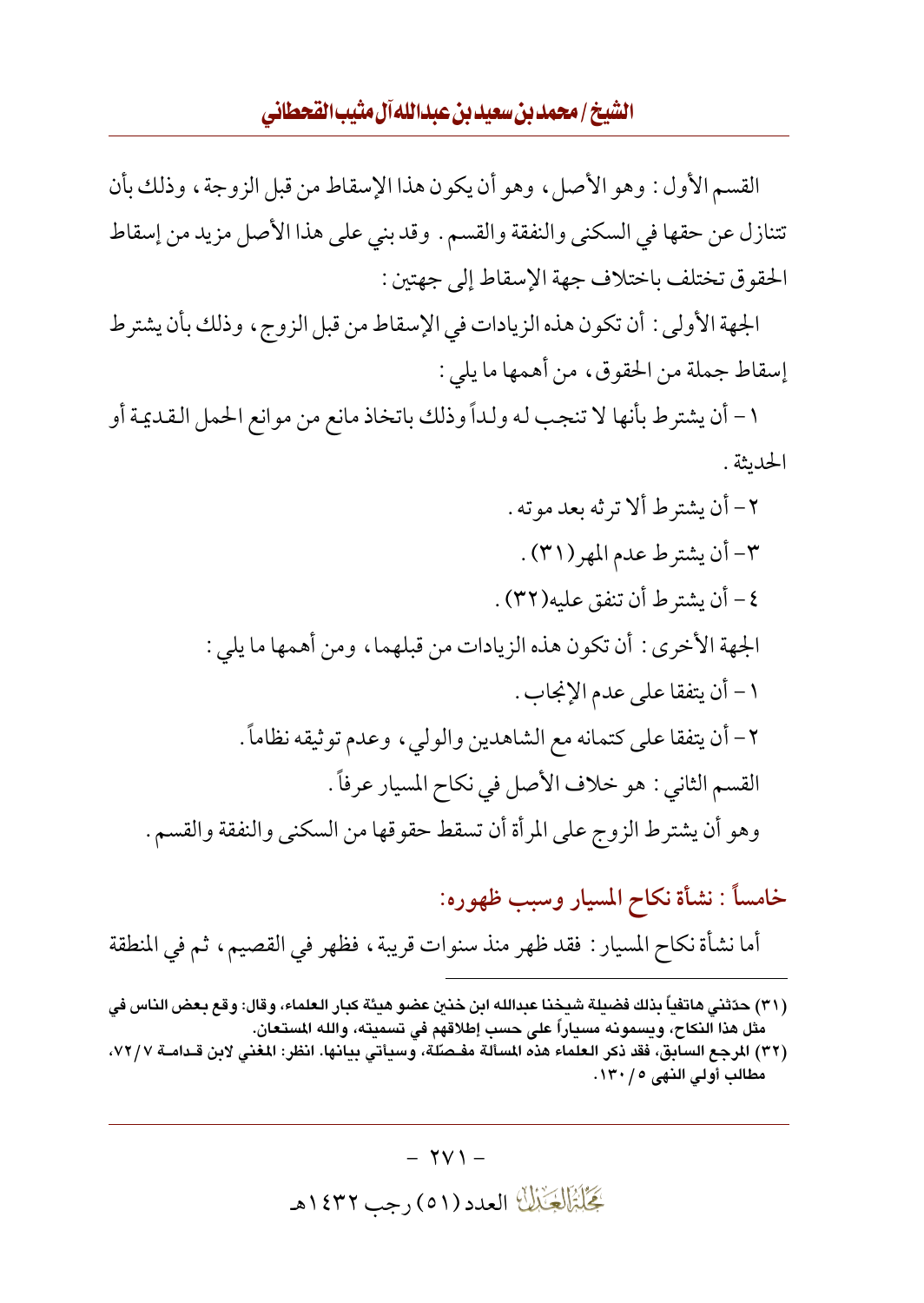الشيخ / محمد بن سعيد بن عبدالله آل مثيب القحطاني

القسم الأول: وهو الأصل، وهو أن يكون هذا الإسقاط من قبل الزوجة، وذلك بأن تتنازل عن حقها في السكني والنفقة والقسم . وقد بني على هذا الأصل مزيد من إسقاط الحقوق تختلف باختلاف جهة الإسقاط إلى جهتين :

الجهة الأولى: أن تكون هذه الزيادات في الإسقاط من قبل الزوج، وذلك بأن يشترط إسقاط جملة من الحقوق، من أهمها ما يلي :

١- أن يشترط بأنها لا تنجب له ولداً وذلك باتخاذ مانع من موانع الحمل القديمة أو الحدىثة .

 $- YV1 -$ كَحَلَّتْمَالُكَيْنَاكَ العدد (٥١) رجب ١٤٣٢هـ

<sup>(</sup>٣١) حدّثني هاتفياً بذلك فضيلة شيخنا عبدالله ابن خنين عضو هيئة كبار العلماء، وقال: وقع بعض الناس في مثل هذا النكاح، ويسمونه مسياراً على حسب إطلاقهم فى تسميته، والله المستعان.

<sup>(</sup>٣٢) المرجع السابق، فقد ذكر العلماء هذه المسألة مفـصلَّة، وسيأتي بيانها. انظر: المغنى لابن قـدامــة ٧٢/٧، مطالب أولى النهي ٥ / ١٣٠.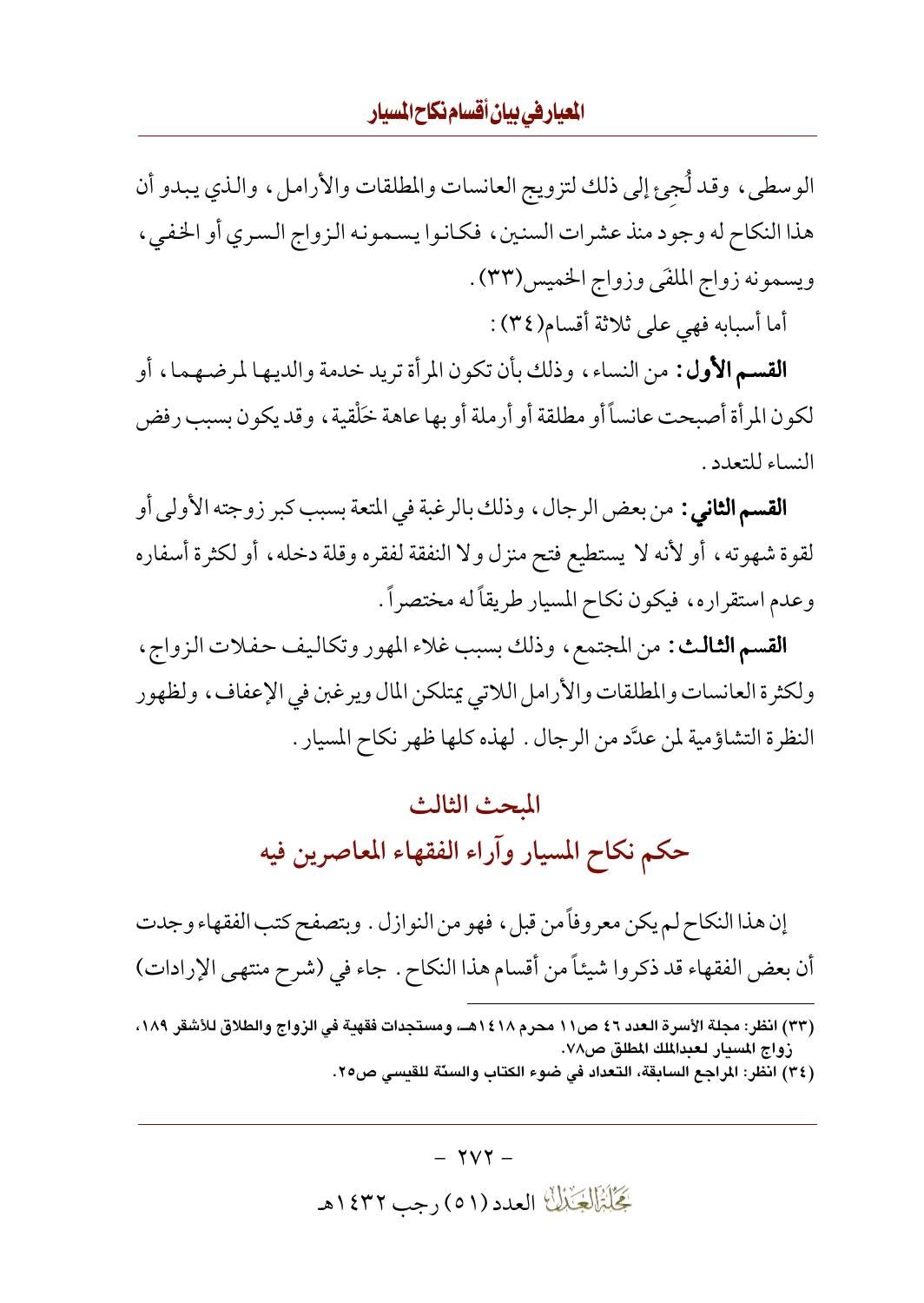#### المعياريفي بيان أقسام نكاح المسيار

الوسطى، وقد لُجئ إلى ذلك لتزويج العانسات والمطلقات والأرامل، والذي يبدو أن هذا النكاح له وجود منذ عشرات السنين، فكانوا يسمونه الزواج السرى أو الخفى، ويسمونه زواج الملقى وزواج الخميس(٣٣) .

أما أسبابه فهي على ثلاثة أقسام(٣٤):

**القسم الأول:** من النساء، وذلك بأن تكون المرأة تريد خدمة والديها لمرضهما، أو لكون المرأة أصبحت عانساً أو مطلقة أو أرملة أو بها عاهة خلْقية ، وقد يكون بسبب رفض النساء للتعدد .

**القسم الثاني :** من بعض الرجال ، وذلك بالرغبة في المتعة بسبب كبر زوجته الأولى أو لقوة شهوته، أو لأنه لا يستطيع فتح منزل ولا النفقة لفقره وقلة دخله، أو لكثرة أسفاره وعدم استقراره، فيكون نكاح المسيار طريقاً له مختصراً .

**القسم الثالث:** من المجتمع ، وذلك بسبب غلاء المهور وتكاليف حفلات الزواج ، ولكثرة العانسات والمطلقات والأرامل اللاتي يمتلكن المال ويرغبن في الإعفاف، ولظهور النظرة التشاؤمية لمن عدَّد من الرجال . لهذه كلها ظهر نكاح المسيار .

# المبحث الثالث حكم نكاح المسيار وآراء الفقهاء المعاصرين فيه

إن هذا النكاح لم يكن معروفاً من قبل ، فهو من النوازل . وبتصفح كتب الفقهاء وجدت أن بعض الفقهاء قد ذكروا شيئاً من أقسام هذا النكاح . جاء في (شرح منتهى الإرادات)

 $\gamma \gamma$  -گَجَلُبْزَالْجَيْزَلْنَا العدد (٥١) رجب ١٤٣٢هـ

<sup>(</sup>٣٣) انظر: مجلة الأسرة العدد ٤٦ ص١١ محرم ١٤١٨هــ، ومستجدات فقهية في الزواج والطلاق للأشقر ١٨٩، زواج المسبار لعبدالملك المطلق ص٧٨.

<sup>(</sup>٣٤) انظر: المراجع السابقة، التعداد في ضوء الكتاب والسنّة للقسب ص٢٥.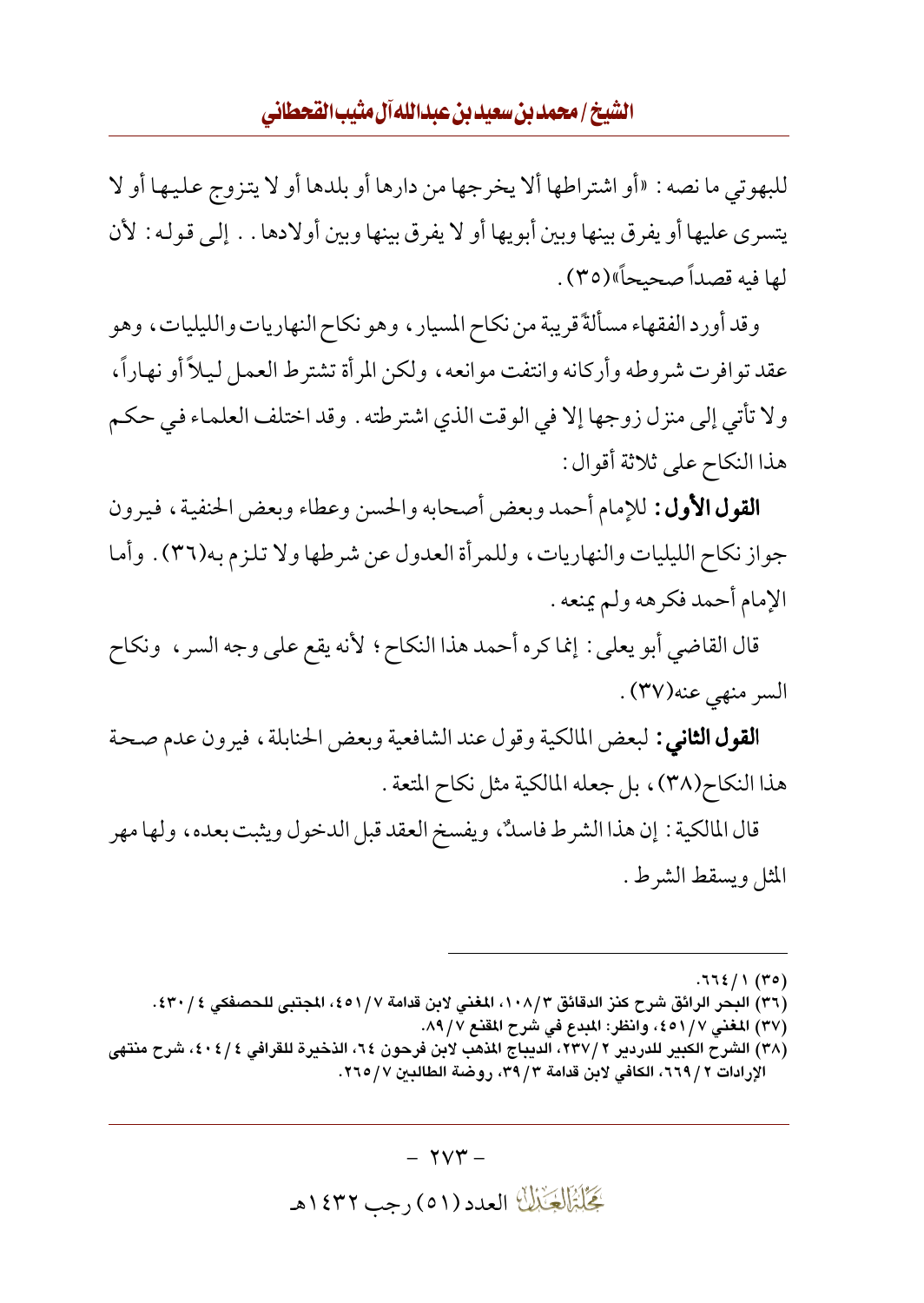للبهوتي ما نصه : «أو اشتراطها ألا يخرجها من دارها أو بلدها أو لا يتزوج عليها أو لا يتسرى عليها أو يفرق بينها وبين أبو يها أو لا يفرق بينها وبين أولادها . . إلى قوله : لأن لها فيه قصداً صحيحاً»(٣٥).

وقد أورد الفقهاء مسألةً قريبة من نكاح المسيار ، وهو نكاح النهاريات والليليات ، وهو عقد توافرت شروطه وأركانه وانتفت موانعه، ولكن المرأة تشترط العمل ليلاً أو نهاراً، ولا تأتي إلى منزل زوجها إلا في الوقت الذي اشترطته . وقد اختلف العلماء في حكم هذا النكاح على ثلاثة أقوال :

**القول الأول:** للإمام أحمد وبعض أصحابه والحسن وعطاء وبعض الحنفية، فيرون جواز نكاح الليليات والنهاريات، وللمرأة العدول عن شرطها ولا تلزم به(٣٦) . وأما الإمام أحمد فكرهه ولم يمنعه .

قال القاضي أبو يعلي : إنما كره أحمد هذا النكاح ؛ لأنه يقع على وجه السر ، ونكاح السر منهى عنه(٣٧).

**القول الثاني :** لبعض المالكية وقول عند الشافعية وبعض الحنابلة ، فيرون عدم صحة هذا النكاح(٣٨)، بل جعله المالكية مثل نكاح المتعة .

قال المالكية : إن هذا الشرط فاسكٌ، ويفسخ العقد قبل الدخول ويثبت بعده، ولها مهر المثل ويسقط الشرط.

 $.772/1(10)$ 

- (٣٦) البحر الرائق شرح كنز الدقائق ١٠٨/٣، المغنى لابن قدامة ٤٥١/٧، المجتبي للحصفكي ٤٣٠/٤.
	- (٣٧) المغنى ٤٥١/٧، وانظر: المبدع في شرح المقنع ٨٩/٧.
- (٣٨) الشرح الكبير للدردير ٢ /٢٣٧، الديباج المذهب لابن فرحون ٢٤، الذخيرة للقرافي ٤ / ٤٠٤، شرح منتهي الإرادات ٢ / ٦٦٩، الكافي لابن قدامة ٣ / ٣٩، روضة الطالبين ٧ / ٢٦٥.

گِخَلِبْزَالِچَنْبُلُّ العدد (٥١) رجب ١٤٣٢هـ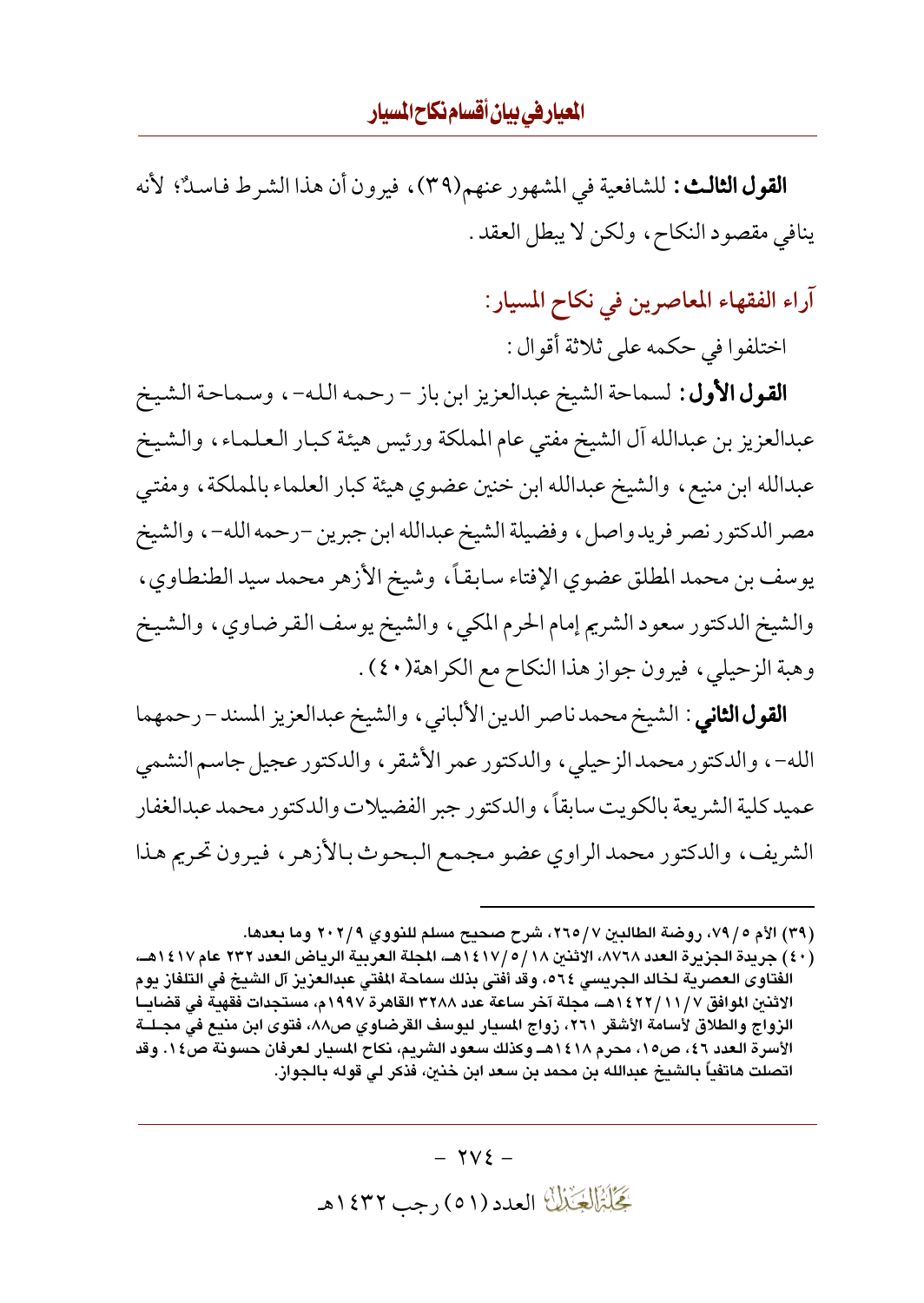**القول الثالث:** للشافعية في المشهور عنهم(٣٩)، فيرون أن هذا الشرط فاسلاٌ؛ لأنه ينافي مقصود النكاح، ولكن لا يبطل العقد.

آراء الفقهاء المعاصرين في نكاح المسيار:

اختلفوا في حكمه على ثلاثة أقوال :

**القول الأول:** لسماحة الشيخ عبدالعزيز ابن باز – رحمه الله- ، وسماحة الشيخ عبدالعزيز بن عبدالله آل الشيخ مفتى عام المملكة ورئيس هيئة كبار العلماء، والشيخ عبدالله ابن منيع، والشيخ عبدالله ابن خنين عضوي هيئة كبار العلماء بالمملكة، ومفتى مصر الدكتور نصر فريد واصل ، وفضيلة الشيخ عبدالله ابن جبرين –رحمه الله– ، والشيخ يوسف بن محمد المطلق عضوى الإفتاء سابقاً، وشيخ الأزهر محمد سيد الطنطاوي، والشيخ الدكتور سعود الشريم إمام الحرم المكي، والشيخ يوسف القرضاوي، والشيخ وهبة الزحيلي، فيرون جواز هذا النكاح مع الكراهة(٤٠) .

**القول الثاني** : الشيخ محمد ناصر الدين الألباني ، والشيخ عبدالعزيز المسند – رحمهما الله-، والدكتور محمدالز حيلي، والدكتور عمر الأشقر ، والدكتور عجيل جاسم النشمي عميد كلية الشريعة بالكويت سابقاً، والدكتور جبر الفضيلات والدكتور محمد عبدالغفار الشريف، والدكتور محمد الراوي عضو مجمع البحوث بالأزهر، فيرون تحريم هذا

 $\forall$  V  $\xi$  -بَحَلَّةَ الْجَنَّالَ العدد (٥١) رجب ١٤٣٢هـ

<sup>(</sup>٣٩) الأم ٥ / ٧٩، روضة الطالبين ٧ / ٢٦٥، شرح صحيح مسلم للنووي ٢٠٢/٩ وما بعدها.

<sup>(</sup>٤٠) جريدة الجزيرة العدد ٨٧٦٨، الاثنين ١٤١٧/٥/١٤١٨هـ، المجلة العربية الرياض العدد ٢٣٢ عام ١٤١٧هـ، الفتاوى العصرية لخالد الجريسي ٢٦٤، وقد أفتى بذلك سماحة المفتى عبدالعزيز آل الشيخ في التلفاز يوم الاثنين الموافق ١٤٢٢/١١/٧ هــ، مجلة آخر ساعة عدد ٣٢٨٨ القاهرة ١٩٩٧م، مستجدات فقهية في قضايــا الزواج والطلاق لأسامة الأشقر ٢٦١، زواج المسيار ليوسف القرضاوي ص٨٨، فتوى ابن منيع في مجــلــة الأسرة العدد ٤٦، ص١٥، محرم ١٤١٨هــ وكذلك سعود الشريم، نكاح المسيار لعرفان حسونة ص٤٠. وقد اتصلت هاتفياً بالشيخ عبدالله بن محمد بن سعد ابن خنين، فذكر لي قوله بالجواز.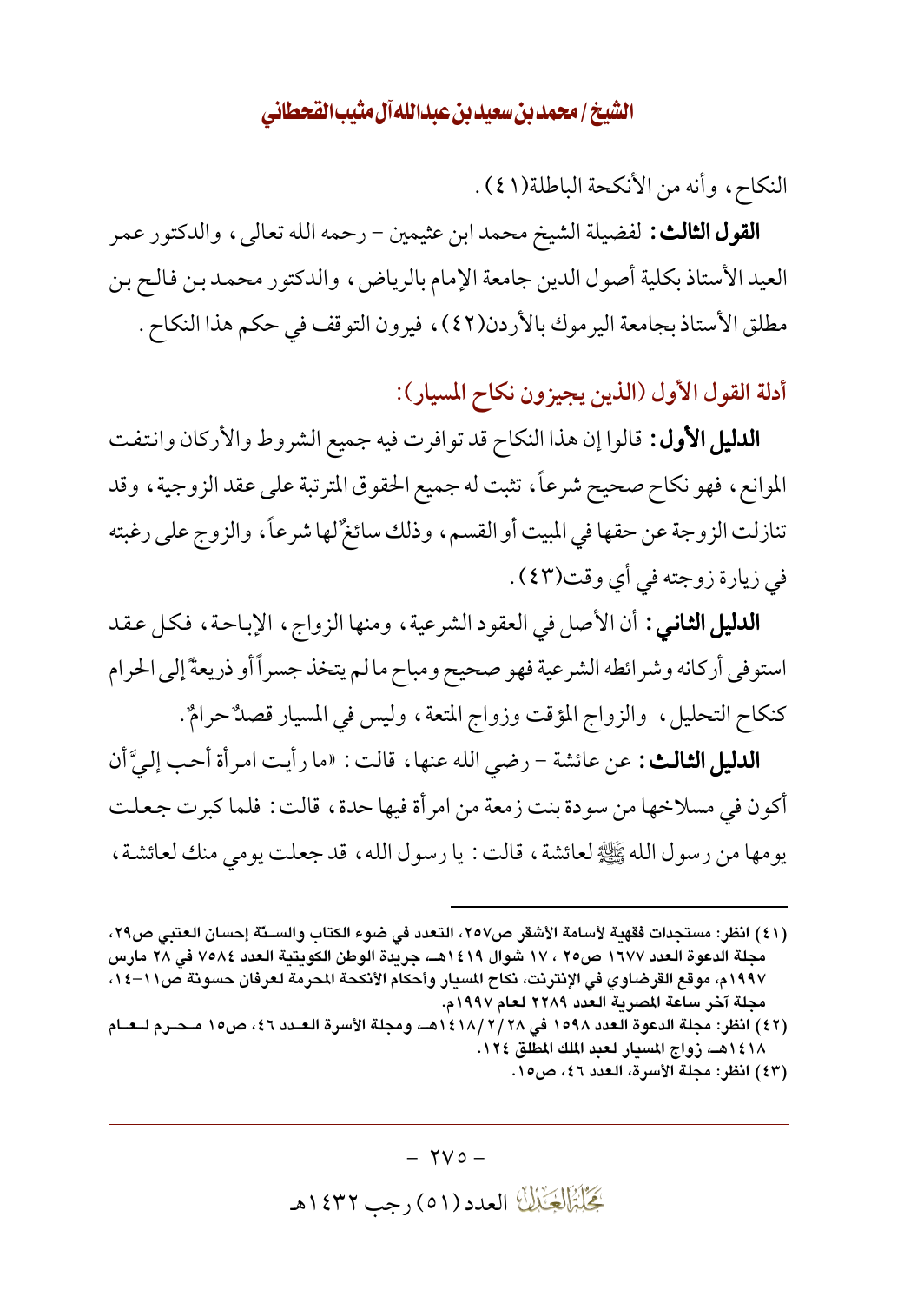النكاح، وأنه من الأنكحة الباطلة(١٤١).

**القول الثالث:** لفضيلة الشيخ محمد ابن عثيمين – رحمه الله تعالى، والدكتور عمر العيد الأستاذ بكلية أصول الدين جامعة الإمام بالرياض، والدكتور محمد بن فالح بن مطلق الأستاذ بجامعة اليرموك بالأردن(٤٢)، فيرون التوقف في حكم هذا النكاح .

أدلة القول الأول (الذين يجيزون نكاح المسيار):

**الدليل الأول :** قالوا إن هذا النكاح قد توافرت فيه جميع الشروط والأركان وانتفت الموانع، فهو نكاح صحيح شرعاً، تثبت له جميع الحقوق المترتبة على عقد الزوجية، وقد تنازلت الزوجة عن حقها في المبيت أو القسم، وذلك سائغٌ لها شرعاً، والزوج على رغبته في زيارة زوجته في أي وقت(٤٣).

**الدليل الثاني :** أن الأصل في العقود الشرعية ، ومنها الزواج ، الإباحة ، فكل عقد استوفى أركانه وشرائطه الشرعية فهو صحيح ومباح مالم يتخذ جسراً أو ذريعةً إلى الحرام كنكاح التحليل، والزواج المؤقت وزواج المتعة، وليس في المسيار قصلٌ حرامٌ.

**الدليل الثالث:** عن عائشة – رضى الله عنها، قالت: «ما رأيت امر أة أحب إليَّ أن أكون في مسلاخها من سودة بنت زمعة من امر أة فيها حدة، قالت : فلما كبرت جعلت يومها من رسول الله ﷺ لعائشة ، قالت : يا رسول الله ، قد جعلت يومي منك لعائشة ،

<sup>(</sup>٤١) انظر: مستجدات فقهية لأسامة الأشقر ص٢٥٧، التعدد في ضوء الكتاب والســدّة إحسان العتبي ص٢٩، مجلة الدعوة العدد ١٦٧٧ ص٢٥ ، ١٧ شوال ١٤١٩هـ، جريدة الوطن الكويتية العدد ٧٥٨٤ في ٢٨ مارس ١٩٩٧م، موقع القرضاوي في الإنترنت، نكاح المسيار وأحكام الأنكحة المحرمة لعرفان حسونة ص١١–١٤، مجلة آخر ساعة المصرية العدد ٢٢٨٩ لعام ١٩٩٧م.

<sup>(</sup>٤٢) انظر: مجلة الدعوة العدد ١٥٩٨ في ٢/ ٢/ ١٤١٨هـ، ومجلة الأسرة العــدد ٤٦، ص١٥ مـحـرم لــعــام ١٤١٨هـ، زواج المسيار لعبد الملك المطلق ١٢٤.

<sup>(</sup>٤٣) انظر: مجلة الأسرة، العدد ٤٦، ص١٥.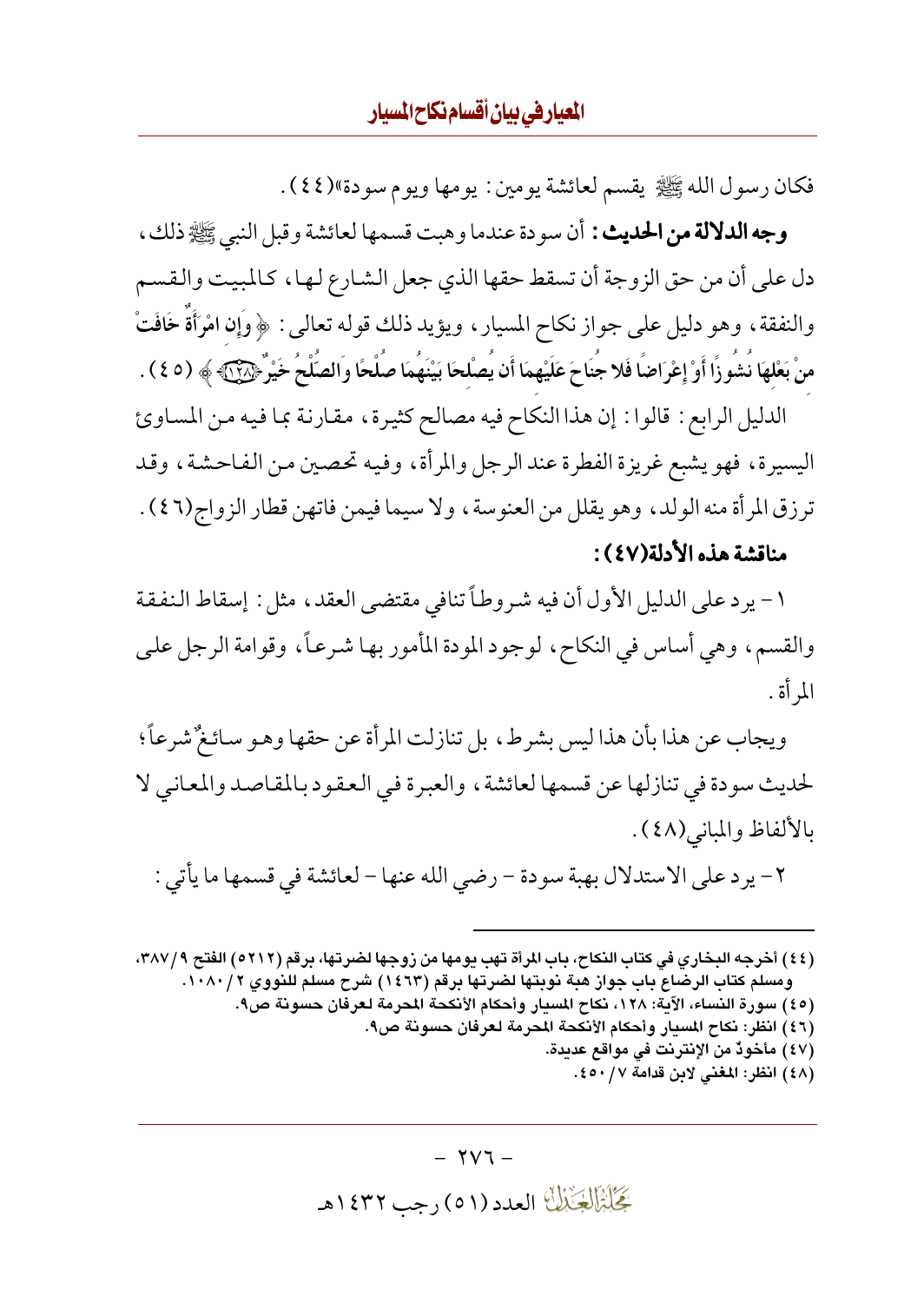فكان رسول الله ﷺ يقسم لعائشة يومين : يومها ويوم سودة»(٤٤).

وجه الدلالة من الحديث : أن سودة عندما وهبت قسمها لعائشة وقبل النبي ﷺ ذلك ، دل على أن من حق الزوجة أن تسقط حقها الذي جعل الشارع لـهـا ، كـالمبيت والـقسـم والنفقة ، وهو دليل على جواز نكاح المسيار ، ويؤيد ذلك قوله تعالى : ﴿ وَإِنَّ امْرَأَةً خَافَتْ منْ بَعْلهَا نُشُورًا أَوْ إِعْرَاضًا فَلا جُنَاحَ عَلَيْهِمَا أَن يُصْلحَا بَيْنَهُمَا صَلْحًا وَالصَّلْحُ خَيْرٌ ﴿۞۞﴾ (٤٥ ٤ ) .

الدليل الرابع : قالوا : إن هذا النكاح فيه مصالح كثيرة، مقارنة بما فيه من المساوئ اليسيرة، فهو يشبع غريزة الفطرة عند الرجل والمرأة، وفيه تحصين من الفاحشة، وقد ترزق المرأة منه الولد، وهو يقلل من العنوسة، ولا سيما فيمن فاتهن قطار الزواج(٤٦) . مناقشة هذه الأدلة(٤٧):

١- يرد على الدليل الأول أن فيه شروطاً تنافى مقتضى العقد، مثل : إسقاط النفقة والقسم، وهي أساس في النكاح، لوجود المودة المأمور بها شرعاً، وقوامة الرجل على المر أة .

ويجاب عن هذا بأن هذا ليس بشرط، بل تنازلت المرأة عن حقها وهو سائغٌ شرعاً؛ لحديث سودة في تنازلها عن قسمها لعائشة ، والعبر ة في العقود بالمقاصد والمعاني لا بالألفاظ والمباني(٤٨).

٢- يرد على الاستدلال بهبة سودة - رضي الله عنها - لعائشة في قسمها ما يأتي :

(٤٤) أخرجه البخاري في كتاب النكاح، باب المرأة تهب يومها من زوجها لضرتها، برقم (٥٢١٢) الفتح ٣٨٧/٩، ومسلم كتاب الرضاع باب جواز هبة نوبتها لضرتها برقم (١٤٦٣) شرح مسلم للنووي ١٠٨٠/٢. (٤٥) سورة النساء، الآية: ١٢٨، نكاح المسيار وأحكام الأنكحة المحرمة لعرفان حسونة ص٩.

(٤٦) انظر: نكاح المسيار وأحكام الأنكحة المحرمة لعرفان حسونة ص٩.

- (٤٧) مأخوذٌ من الإنترنت في مواقع عديدة.
	- (٤٨) انظر: المغنى لابن قدامة ٤٥٠/٧.

 $\gamma \gamma$  -گَجَلَبْتَمَالِکَ الْعَدَدُ (٥١) رجب ١٤٣٢هـ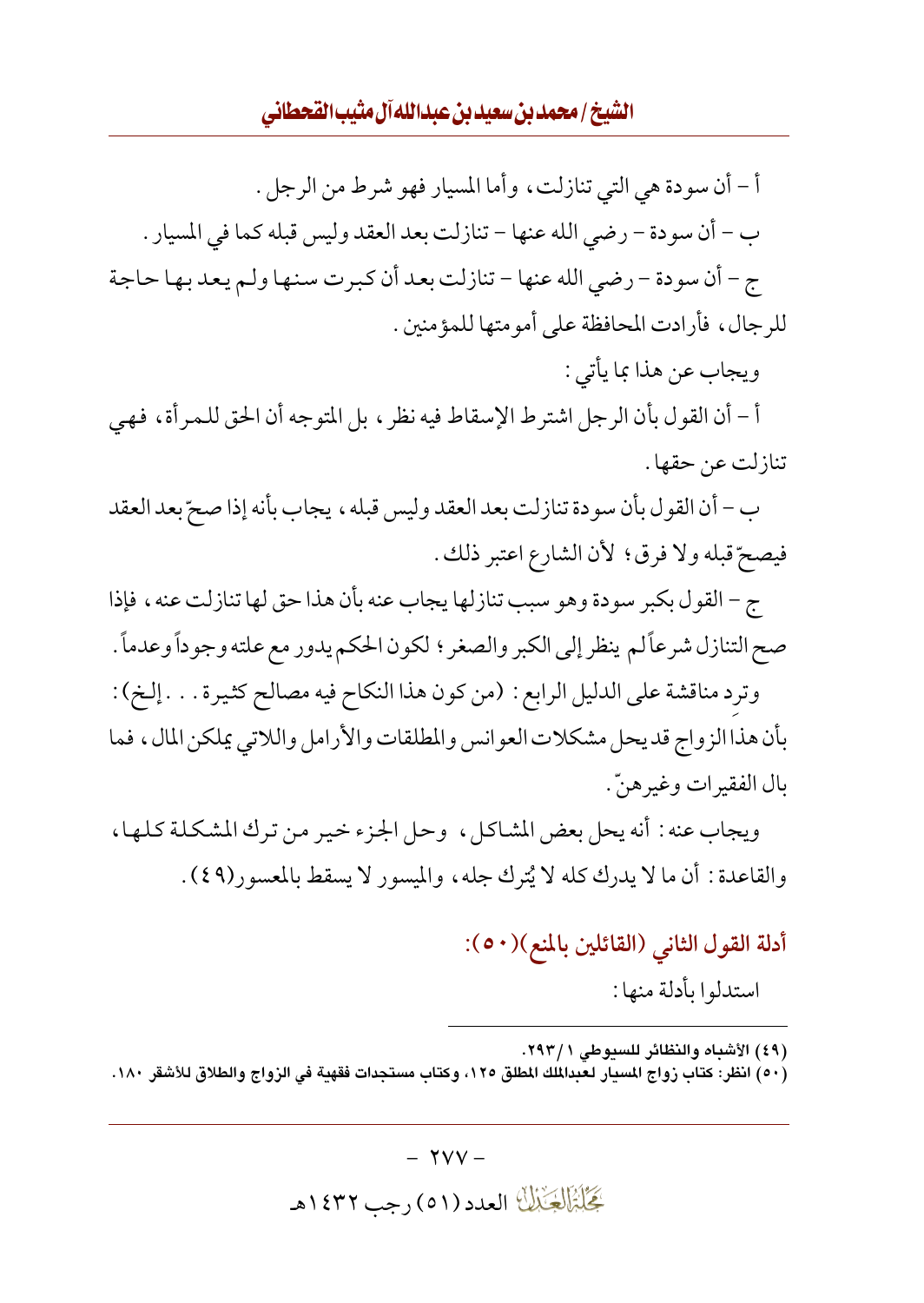#### الشيخ / محمد بن سعيد بن عبدالله آل مثيب القحطاني

أ – أن سودة هي التي تنازلت، وأما المسيار فهو شرط من الرجل . ب – أن سودة – رضي الله عنها – تنازلت بعد العقد وليس قبله كما في المسيار . ج – أن سودة – رضي الله عنها – تنازلت بعد أن كبرت سنها ولـم يعد بها حاجة للرجال، فأرادت المحافظة على أمو متها للمؤ منين .

ويجاب عن هذا بما يأتي :

أ - أن القول بأن الرجل اشترط الإسقاط فيه نظر ، بل المتوجه أن الحق للمرأة ، فهي تنازلت عن حقها .

ب – أن القول بأن سودة تنازلت بعد العقد وليس قبله ، يجاب بأنه إذا صحّ بعد العقد فيصحِّ قبله ولا فرقٍّ ؛ لأن الشارع اعتبر ذلك .

ج – القول بكبر سودة وهو سبب تنازلها يجاب عنه بأن هذا حق لها تنازلت عنه ، فإذا صح التنازل شرعاً لم ينظر إلى الكبر والصغر ؛ لكون الحكم يدور مع علته وجوداً وعدماً .

وترد مناقشة على الدليل الرابع : (من كون هذا النكاح فيه مصالح كثيرة . . . إلخ) : بأن هذا الز واج قد يحل مشكلات العوانس والمطلقات والأرامل واللاتبي يملكن المال، فما بال الفقير ات وغير هنّ .

ويجاب عنه : أنه يحل بعض المشاكل، وحل الجزء خير من ترك المشكلة كلها، والقاعدة : أن ما لا يدرك كله لا يُترك جله ، والميسور لا يسقط بالمعسور (٤٩) .

أدلة القول الثاني (القائلين بالمنع)(٥٠):

استدلوا بأدلة منها :

(٤٩) الأشباه والنظائر للسيوطي ٢٩٣/١.

(٥٠) انظر: كتاب زواج المسار لـعبدالملك المطلق ١٢٥، وكتاب مستجدات فقهبة في الزواج والطلاق للأشقر ١٨٠.

 $-$  YVV  $-$ گِخَلِبْزَالِچَنْبُلُّ العدد (٥١) رجب ١٤٣٢هـ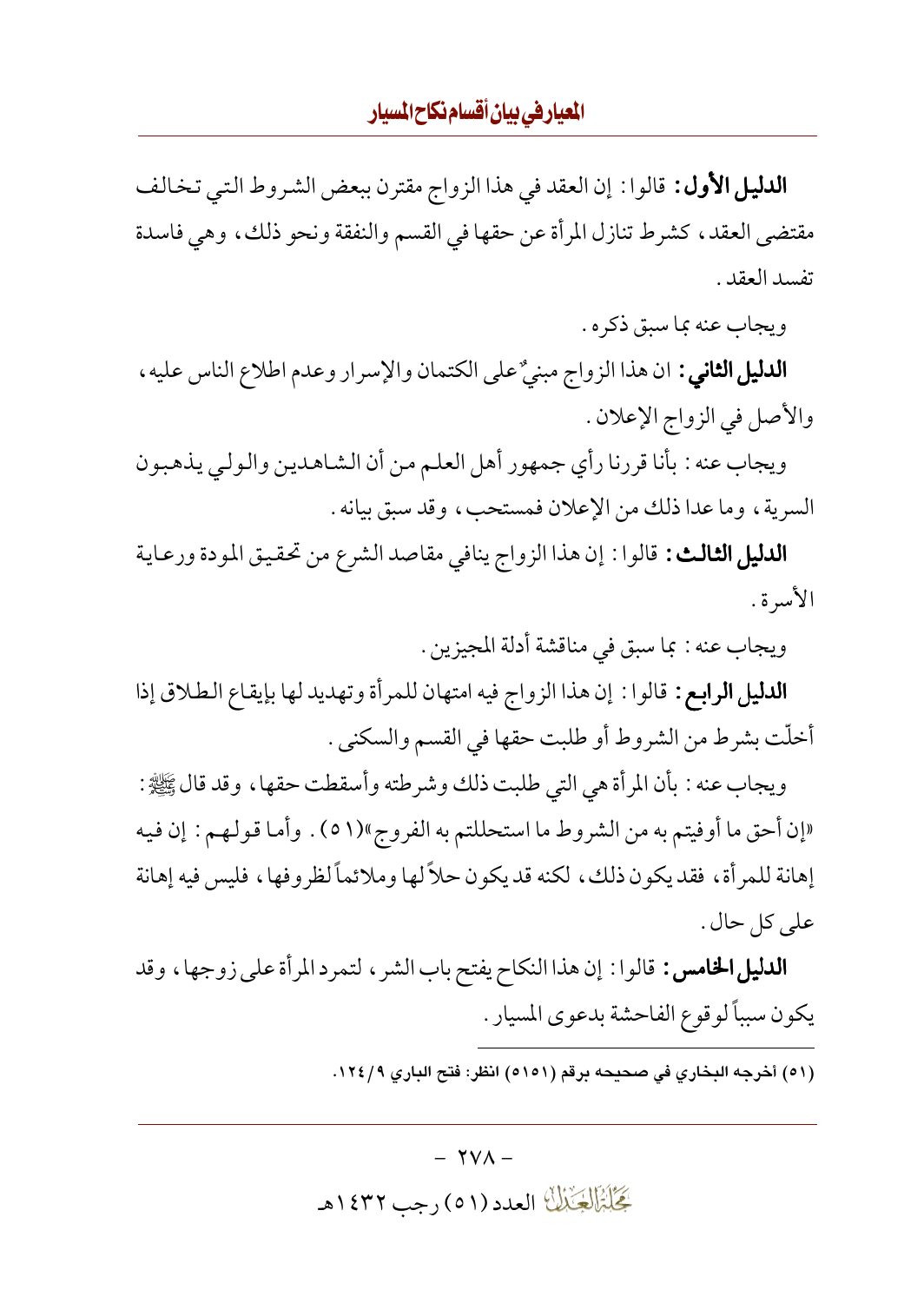**الدليل الأول :** قالوا : إن العقد في هذا الزواج مقترن ببعض الشروط التي تخالف مقتضى العقد، كشرط تنازل المرأة عن حقها في القسم والنفقة ونحو ذلك، وهي فاسدة تفسد العقد .

ويجاب عنه بما سبق ذكره .

**الدليل الثاني :** ان هذا الزواج مبنيٌ على الكتمان والإسرار وعدم اطلاع الناس عليه ، والأصل في الزواج الإعلان .

ويجاب عنه : بأنا قررنا رأى جمهور أهل العلم من أن الشاهدين والولي يذهبون السرية، وما عدا ذلك من الإعلان فمستحب، وقد سبق بيانه .

**الدليل الثالث:** قالوا: إن هذا الزواج ينافي مقاصد الشرع من تحقيق المودة ورعاية الأسرة .

ويجاب عنه : بما سبق في مناقشة أدلة المجيزين .

**الدليل الرابع:** قالوا: إن هذا الزواج فيه امتهان للمرأة وتهديد لها بإيقاع الطلاق إذا أخلّت بشرط من الشروط أو طلبت حقها في القسم والسكني .

ويجاب عنه : بأن المر أة هي التي طلبت ذلك وشرطته وأسقطت حقها ، وقد قال ﷺ : «إن أحق ما أوفيتم به من الشروط ما استحللتم به الفروج»(٥١) . وأما قولهم: إن فيه إهانة للمر أة ، فقد يكون ذلك ، لكنه قد يكون حلاً لها وملائماً لظروفها ، فليس فيه إهانة على كل حال .

**الدليل الخامس :** قالوا : إن هذا النكاح يفتح باب الشر ، لتمرد المرأة على زوجها ، وقد يكون سبباً لوقوع الفاحشة بدعوى المسيار .

(٥١) أخرجه البخاري في صحيحه برقم (٥١٥١) انظر: فتح الباري ١٢٤/٩.

 $\forall$  V $\wedge$  -گِجَلِبْزَالِکِیْمَالِکَ العدد (٥١) رجب ١٤٣٢هـ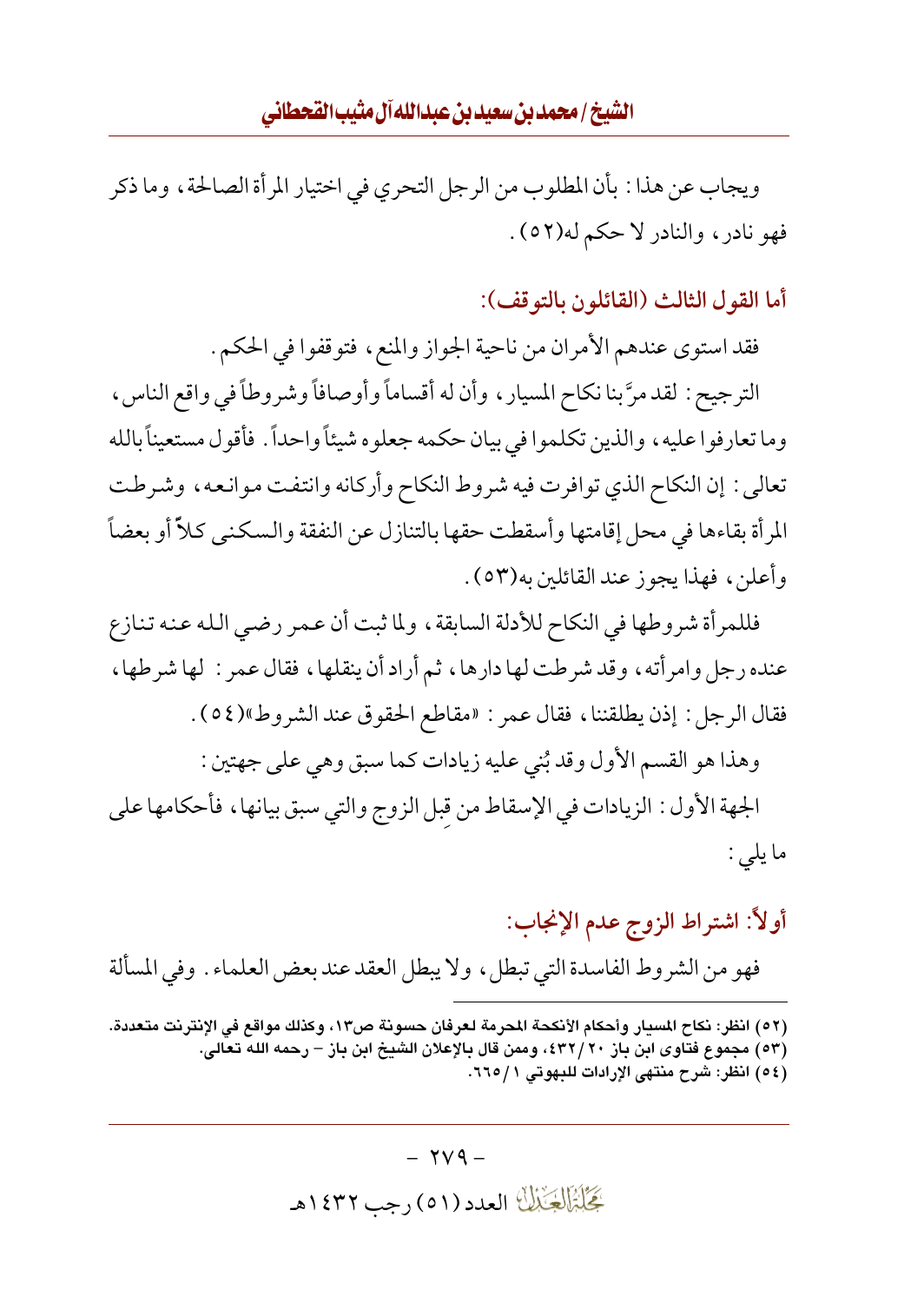ويجاب عن هذا : بأن المطلوب من الرجل التحري في اختيار المر أة الصالحة ، وما ذكر فهو نادر، والنادر لا حكم له(٥٢).

أما القول الثالث (القائلون بالتوقف):

فقد استوى عندهم الأمران من ناحية الجواز والمنع، فتوقفوا في الحكم . الترجيح : لقد مرَّ بنا نكاح المسيار ، وأن له أقساماً وأوصافاً وشروطاً في واقع الناس ، وما تعارفوا عليه، والذين تكلموا في بيان حكمه جعلوه شيئاً واحداً . فأقول مستعيناً بالله تعالى : إن النكاح الذي توافرت فيه شروط النكاح وأركانه وانتفت موانعه، وشرطت المرأة بقاءها في محل إقامتها وأسقطت حقها بالتنازل عن النفقة والسكنبي كلاً أو بعضاً وأعلن ، فهذا يجوز عند القائلين به(٥٣) .

فللمرأة شروطها في النكاح للأدلة السابقة ، ولما ثبت أن عمر رضيي الله عنه تنازع عنده رجل وامر أنه، وقد شرطت لها دارها، ثم أراد أن ينقلها، فقال عمر : لها شرطها، فقال الرجل : إذن يطلقننا، فقال عمر : «مقاطع الحقوق عند الشروط»(0٤).

وهذا هو القسم الأول وقد بُني عليه زيادات كما سبق وهي على جهتين : الجهة الأول : الزيادات في الإسقاط من قبل الزوج والتي سبق بيانها ، فأحكامها على ما يلي :

## أولاً: اشتراط الزوج عدم الإنجاب:

فهو من الشروط الفاسدة التي تبطل، ولا يبطل العقد عند بعض العلماء . وفي المسألة

- (٥٢) انظر: نكاح المسبار وأحكام الأنكحة المحرمة لعرفان حسونة ص١٣، وكذلك مواقع في الإنترنت متعددة.
	- (٥٣) مجموع فتاوى ابن باز ٢٠/٢٠، وممن قال بالإعلان الشيخ ابن باز رحمه الله تعالى.
		- (٥٤) انظر: شرح منتهى الإرادات للبهوتي ١ / ٦٦٥.

 $\forall \forall 4$  -بَحَلْبَزَالِجَيْبَالَ العدد (٥١) رجب ١٤٣٢هـ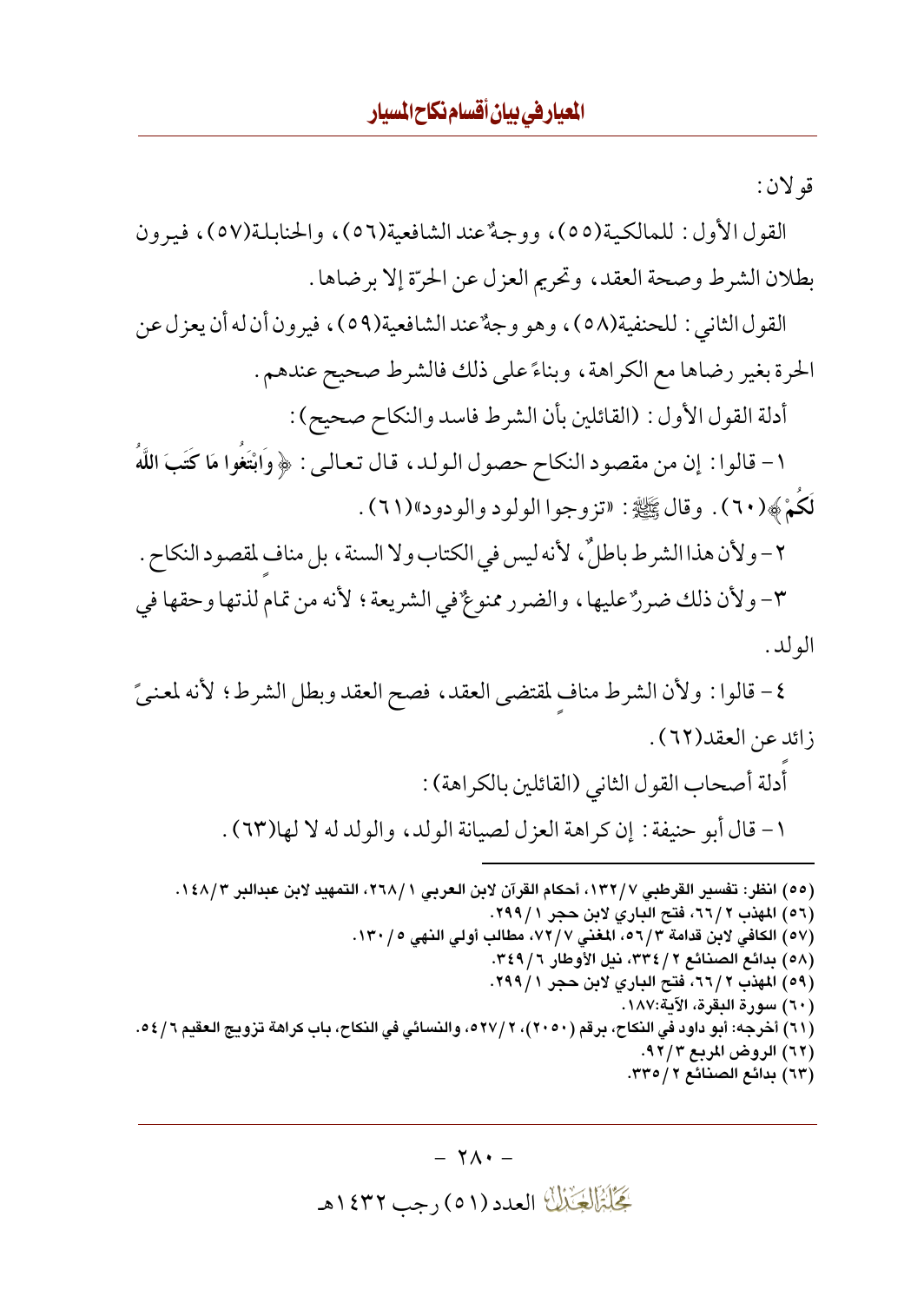قو لان :

القول الأول: للمالكية(٥٥)، ووجهٌ عند الشافعية(٥٦)، والحنابلة(٥٧)، فيهون بطلان الشرط وصحة العقد، وتحريم العزل عن الحرّة إلا برضاها .

القول الثاني : للحنفية(٥٨)، وهو وجهٌ عند الشافعية(٥٩)، فيرون أن له أن يعزل عن الحرة بغير رضاها مع الكراهة، وبناءً على ذلك فالشرط صحيح عندهم.

أدلة القول الأول : (القائلين بأن الشرط فاسد والنكاح صحيح) :

١ - قالوا : إن من مقصود النكاح حصول الولد، قال تعالى : ﴿ وَابْتَغُوا مَا كَتَبَ اللَّهُ لَكُمْ ﴾(٦٠). وقال ﷺ: «تزوجوا الولود والودود»(٦١).

٢- ولأن هذا الشرط باطلٌ، لأنه ليس في الكتاب ولا السنة ، بل مناف لمقصود النكاح . ٣- ولأن ذلك ضررٌ عليها، والضرر ممنوعٌ في الشريعة؛ لأنه من تمام لذتها وحقها في الو لد .

٤- قالوا : ولأن الشرط مناف لمقتضى العقد، فصح العقد وبطل الشرط؛ لأنه لمعنىً زائد عن العقد(٦٢).

> أدلة أصحاب القول الثاني (القائلين بالكراهة) : ١ - قال أبو حنيفة : إن كراهة العزل لصيانة الولد، والولد له لا لها(٦٣) .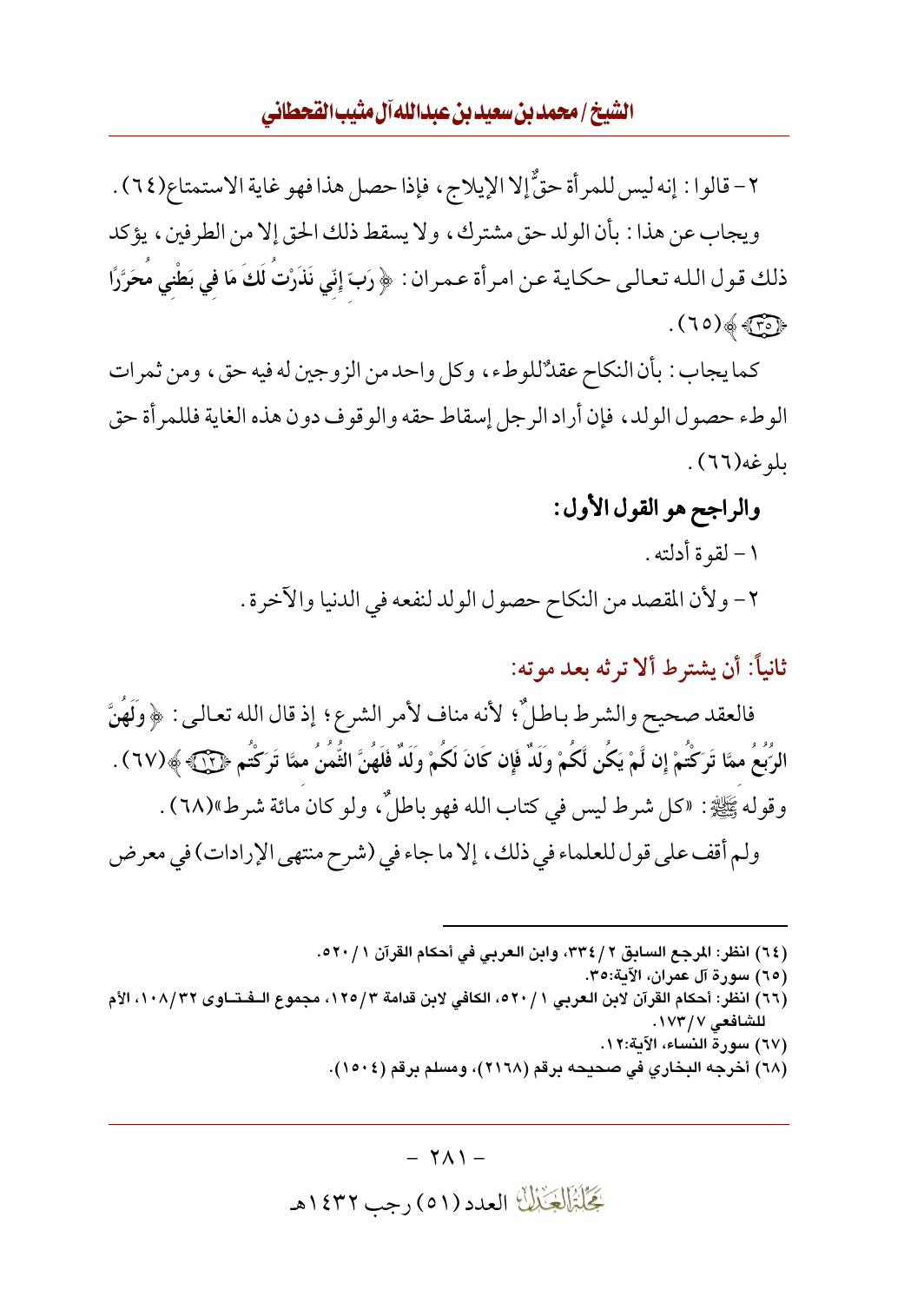#### الشيخ/محمدين سعيدين عبدالله آل مثيب القحطاني

٢- قالوا : إنه ليس للمرأة حقٌّ إلا الإيلاج، فإذا حصل هذا فهو غاية الاستمتاع(٢٤) . ويجاب عن هذا : بأن الولد حق مشترك، ولا يسقط ذلك الحق إلا من الطرفين، يؤكد ذلك قول الله تعالى حكاية عن امرأة عمران : ﴿ رَبِّ إِنِّي نَذَرْتُ لَكَ مَا في بَطْني مُحَرَّرًا  $(70)$  of  $\widehat{TP}$ 

كما يجاب : بأن النكاح عقدٌ'للوطء، وكل واحد من الزوجين له فيه حق، ومن ثمرات الوطء حصول الولد، فإن أراد الرجل إسقاط حقه والوقوف دون هذه الغاية فللمر أة حق ىلوغە(٦٦).

### والراجح هو القول الأول:

١ – لقو ة أدلته . ٢- ولأن المقصد من النكاح حصول الولد لنفعه في الدنيا والآخرة .

ثانياً: أن يشترط ألا تر ثه بعد مو ته:

فالعقد صحيح والشرط باطلٌّ؛ لأنه مناف لأمر الشرع؛ إذ قال الله تعالىي : ﴿ وَلَهُنَّ الرُّبُعُ ممَّا تَرَكْتُمْ إِن لَّمْ يَكُن لَّكُمْ وَلَدٌ فَإِن كَانَ لَكُمْ وَلَدٌ فَلَهُنَّ الثُّمُنُ ممَّا تَرَكْتُم ﴿ (٦٧) . وقوله ﷺ : «كل شرط ليس في كتاب الله فهو باطلٌ، ولو كان مائة شرط»(٦٨) . ولم أقف على قول للعلماء في ذلك، إلا ما جاء في (شرح منتهى الإرادات) في معرض

(٦٤) انظر: المرجع السابق ٢٣٤/٢، وابن العربي في أحكام القرآن ٥٢٠/١.

- (٦٥) سورة آل عمران، الآية:٣٥.
- (٦٦) انظر: أحكام القرآن لابن العربي ٢ / ٥٢٠، الكافي لابن قدامة ٢/ ١٢٥، مجموع الــفـتــاوي ١٠٨/٣٢، الأم للشافعي ١٧٣/٧.
	- (٦٧) سورة النساء، الآية:١٢.
	- (٦٨) أخرجه البخاري في صحيحه برقم (٢١٦٨)، ومسلم برقم (١٥٠٤).

 $- Y \Lambda$ ) -گِخَلِبْزَالِچَنْبُلُّ العدد (٥١) رجب ١٤٣٢هـ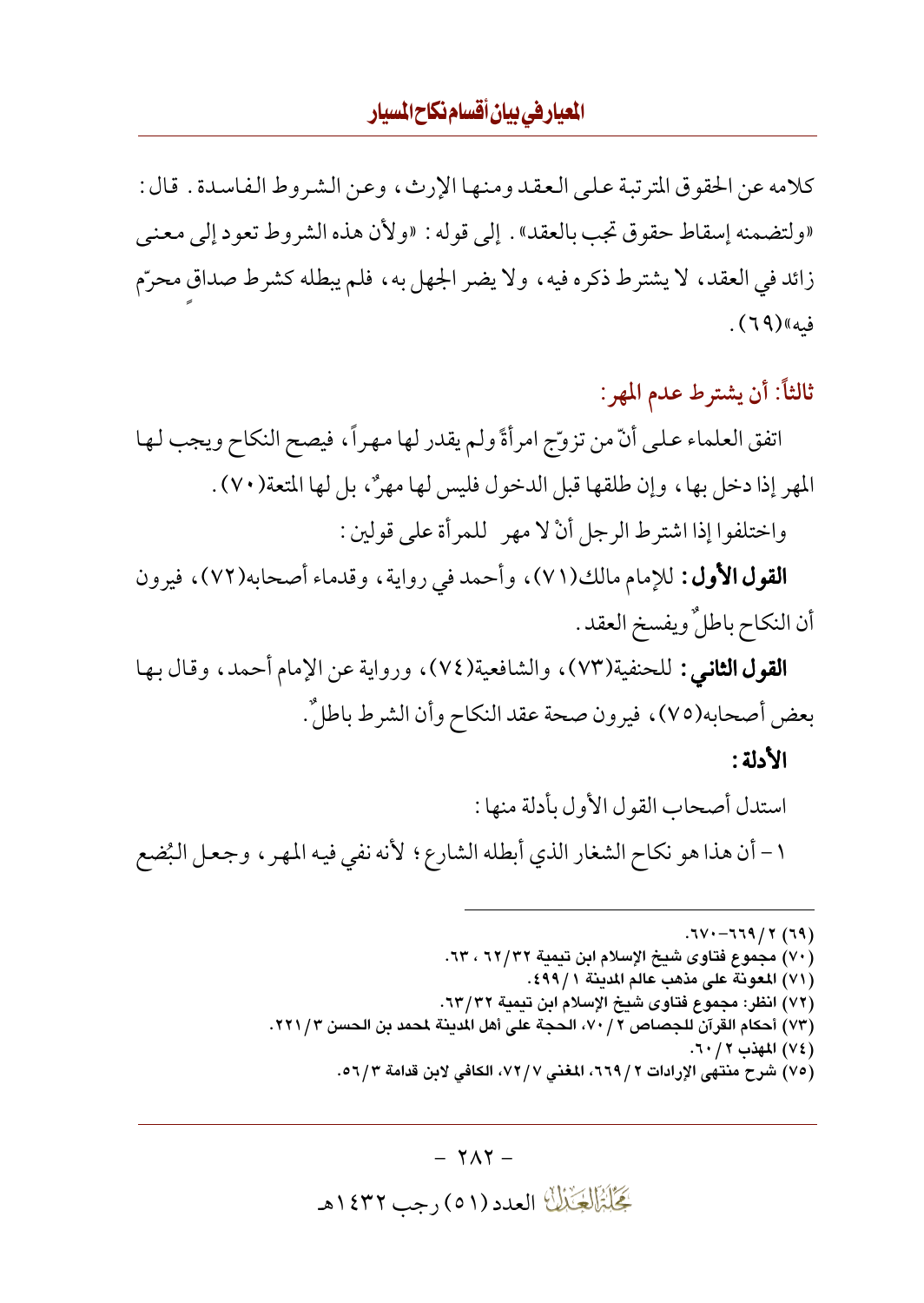كلامه عن الحقوق المترتبة على العقد ومنها الإرث، وعن الشروط الفاسدة . قال : «ولتضمنه إسقاط حقوق تجب بالعقد» . إلى قوله : «ولأن هذه الشروط تعود إلى معنى زائد في العقد، لا يشترط ذكره فيه، ولا يضر الجهل به، فلم يبطله كشرط صداق محرّم ف*يه*»(٦٩).

## ثالثاً: أن يشترط عدم المهر:

اتفق العلماء على أنَّ من تزوَّج امرأةً ولم يقدر لها مهراً، فيصح النكاح ويجب لها المهر إذا دخل بها، وإن طلقها قبل الدخول فليس لها مهرٌ، بل لها المتعة(٧٠). واختلفوا إذا اشترط الرجل أنْ لا مهر للمرأة على قولين :

**القول الأول:** للإمام مالك(٧١)، وأحمد في رواية، وقدماء أصحابه(٧٢)، فيرون أن النكاح باطلٌ ويفسخ العقد .

**القول الثاني:** للحنفية(٧٣)، والشافعية(٧٤)، ورواية عن الإمام أحمد، وقال بها بعض أصحابه(٧٥)، فيرون صحة عقد النكاح وأن الشرط باطلٌ.

الأدلة :

استدل أصحاب القول الأول بأدلة منها : ١- أن هذا هو نكاح الشغار الذي أبطله الشارع؛ لأنه نفي فيه المهر ، وجعل البُضع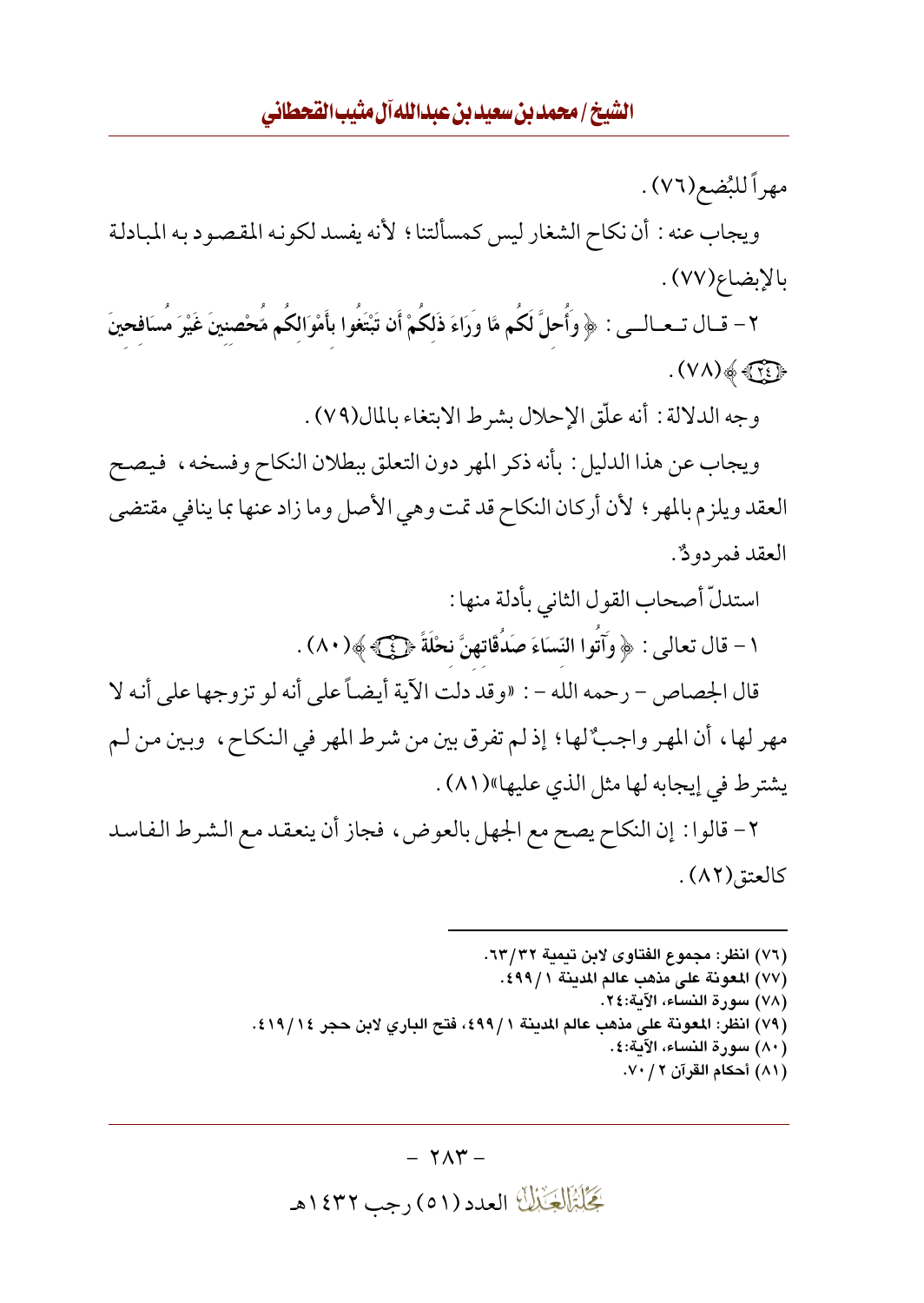مهراً للبُضع(٧٦) .

ويجاب عنه : أن نكاح الشغار ليس كمسألتنا ؛ لأنه يفسد لكونه المقصود به المبادلة بالإبضاع(٧٧).

٢- قــال تــعــالــي : ﴿ وَأُحلَّ لَكُم مَّا وَرَاءَ ذَلكُمْ أَن تَبْتَغُوا بأَمْوَالكُم مُّحْصنينَ غَيْرَ مُسَافحينَ  $( V \Lambda ) \& \rightarrow$ 

وجه الدلالة : أنه علَّق الإحلال بشرط الابتغاء بالمال(٧٩) .

ويجاب عن هذا الدليل : بأنه ذكر المهر دون التعلق ببطلان النكاح وفسخه، فيصح العقد ويلزم بالمهر ؛ لأن أركان النكاح قد تمت وهي الأصل وما زاد عنها بما ينافي مقتضى العقد فمر دودٌ.

> استدلّ أصحاب القول الثاني بأدلة منها : ١ – قال تعالى : ﴿ وَآتُوا النِّسَاءَ صَدُقَاتِهِنَّ نحْلَةً ﴿ فَيَ ﴾ ﴾ (٨٠) .

قال الجصاص – رحمه الله – : «وقد دلت الآية أيضاً على أنه لو تزوجها على أنه لا مهر لها، أن المهر واجبٌ لها؛ إذ لم تفرق بين من شرط المهر في النكاح، وبين من لـم يشترط في إيجابه لها مثل الذي عليها»(٨١).

٢- قالوا : إن النكاح يصح مع الجهل بالعوض، فجاز أن ينعقد مع الشرط الفاسد كالعتق(٨٢).

- (٧٦) انظر: مجموع الفتاوي لابن تيمية ٦٣/٣٢.
	- (٧٧) المعونة على مذهب عالم المدينة ٤٩٩/١.
		- (٧٨) سورة النساء، الآية:٢٤.
- (٧٩) انظر: المعونة على مذهب عالم المدينة ٤٩٩/١، فتح الباري لابن حجر ١٤/٩١٤.
	- (٨٠) سورة النساء، الآية:٤. (٨١) أحكام القرآن ٧٠/٧٠.

گِجَلِبْزَالِکِجَنْالُ العدد (٥١) رجب ١٤٣٢هـ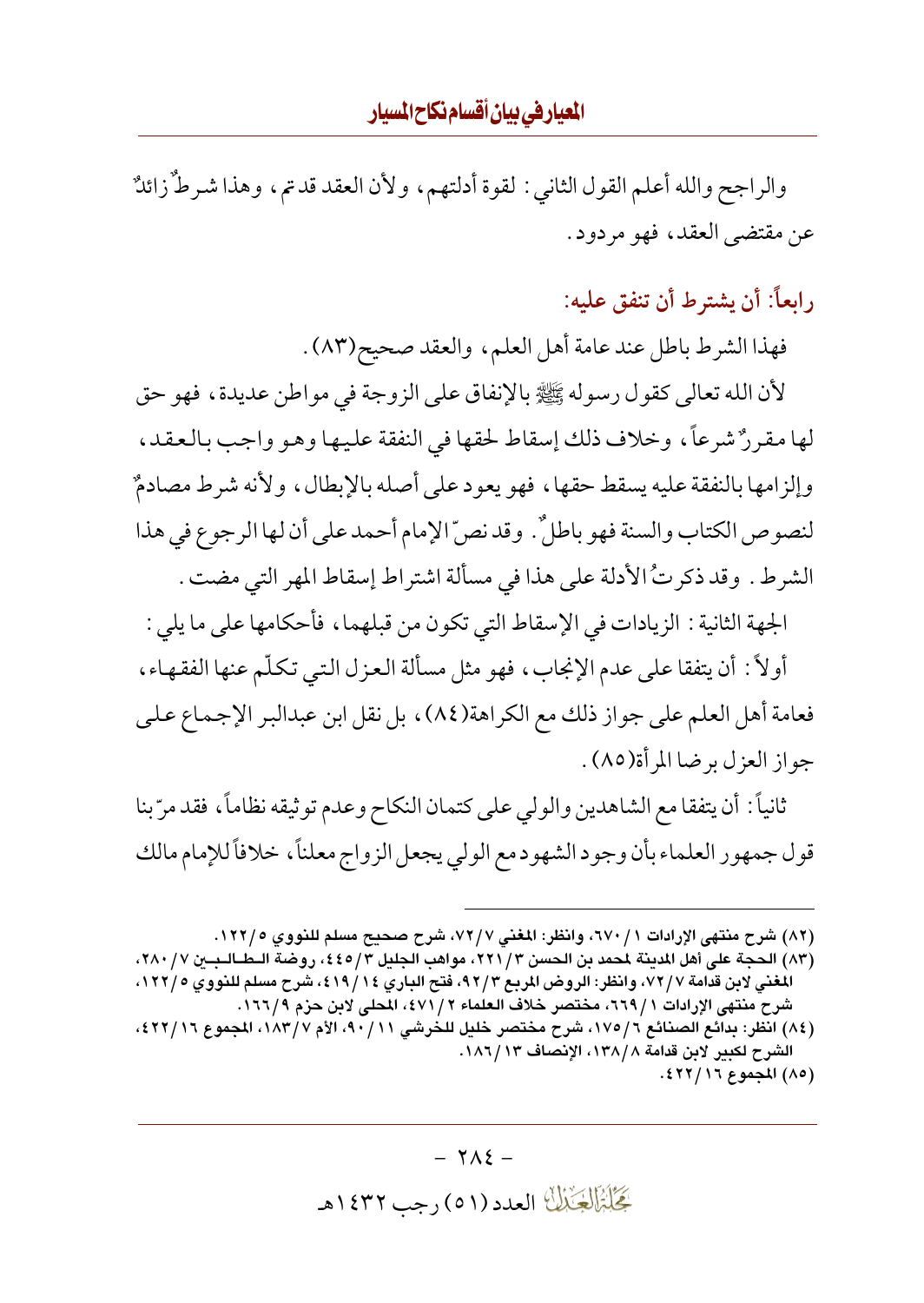المعيارفي بيان أقسام نكاح المسيار

والراجح والله أعلم القول الثاني : لقوة أدلتهم، ولأن العقد قدتم، وهذا شرطٌ زائلٌ عن مقتضى العقد، فهو مردود.

رابعاً: أن يشترط أن تنفق عليه:

فهذا الشرط باطل عند عامة أهل العلم، والعقد صحيح(٨٣) .

لأن الله تعالى كقول رسوله ﷺ بالإنفاق على الزوجة في مواطن عديدة ، فهو حق لها مقررٌ شرعاً، وخلاف ذلك إسقاط لحقها في النفقة عليها وهو واجب بالعقد، وإلزامها بالنفقة عليه يسقط حقها، فهو يعود على أصله بالإبطال، ولأنه شرط مصادمٌ لنصوص الكتاب والسنة فهو باطلٌ. وقد نصّ الإمام أحمد على أن لها الرجوع في هذا الشرط . وقد ذكرتُ الأدلة على هذا في مسألة اشتراط إسقاط المهر التي مضت .

الجهة الثانية : الزيادات في الإسقاط التي تكون من قبلهما ، فأحكامها على ما يلي :

أولاً : أن يتفقا على عدم الإنجاب، فهو مثل مسألة العزل التبي تكلَّم عنها الفقهاء ، فعامة أهل العلم على جواز ذلك مع الكراهة(٨٤)، بل نقل ابن عبدالبر الإجماع على جواز العزل برضا المرأة(٨٥) .

ثانياً : أن يتفقا مع الشاهدين والولي على كتمان النكاح وعدم توثيقه نظاماً ، فقد مرّ بنا قول جمهور العلماء بأن وجود الشهود مع الولي يجعل الزواج معلناً، خلافاً للإمام مالك

(٨٢) شرح منتهى الإرادات ٦٧٠/١، وانظر: المغنى ٧٢/٧، شرح صحيح مسلم للنووي ١٢٢/٥.

- (٨٣) الحجة على أهل المدينة لمحمد بن الحسن ٣/ ٢٢١، مواهب الجليل ٤/ ٤٥)، روضة الـطــالــبــين ٧/ ٢٨٠، المغني لابن قدامة ٧٢/٧، وانظر: الروض المربع ٩٢/٣، فتح الباري ١٩/١٤، شرح مسلم للنووي ١٢٢/٥، شرح منتهي الإرادات ١ / ٦٦٩، مختصر خلاف العلماء ٢ / ٤٧١، المحلي لابن حزم ١٦٦٦.
- (٨٤) انظر: بدائع الصنائع ١٧٥/٦، شرح مختصر خليل للخرشي ٩٠/١١، الأم ١٨٣/٧، المجموع ٤٢٢/١٦، الشرح لكبير لابن قدامة ١٣٨/٨، الإنصاف ١٣/٦٨٦. (٨٥) المجموع ١٦/ ٤٢٢).

 $-7\lambda$   $\xi$  -گَجَلَبْتَمَالِکَ الْعَدَدُ (٥١) رجب ١٤٣٢هـ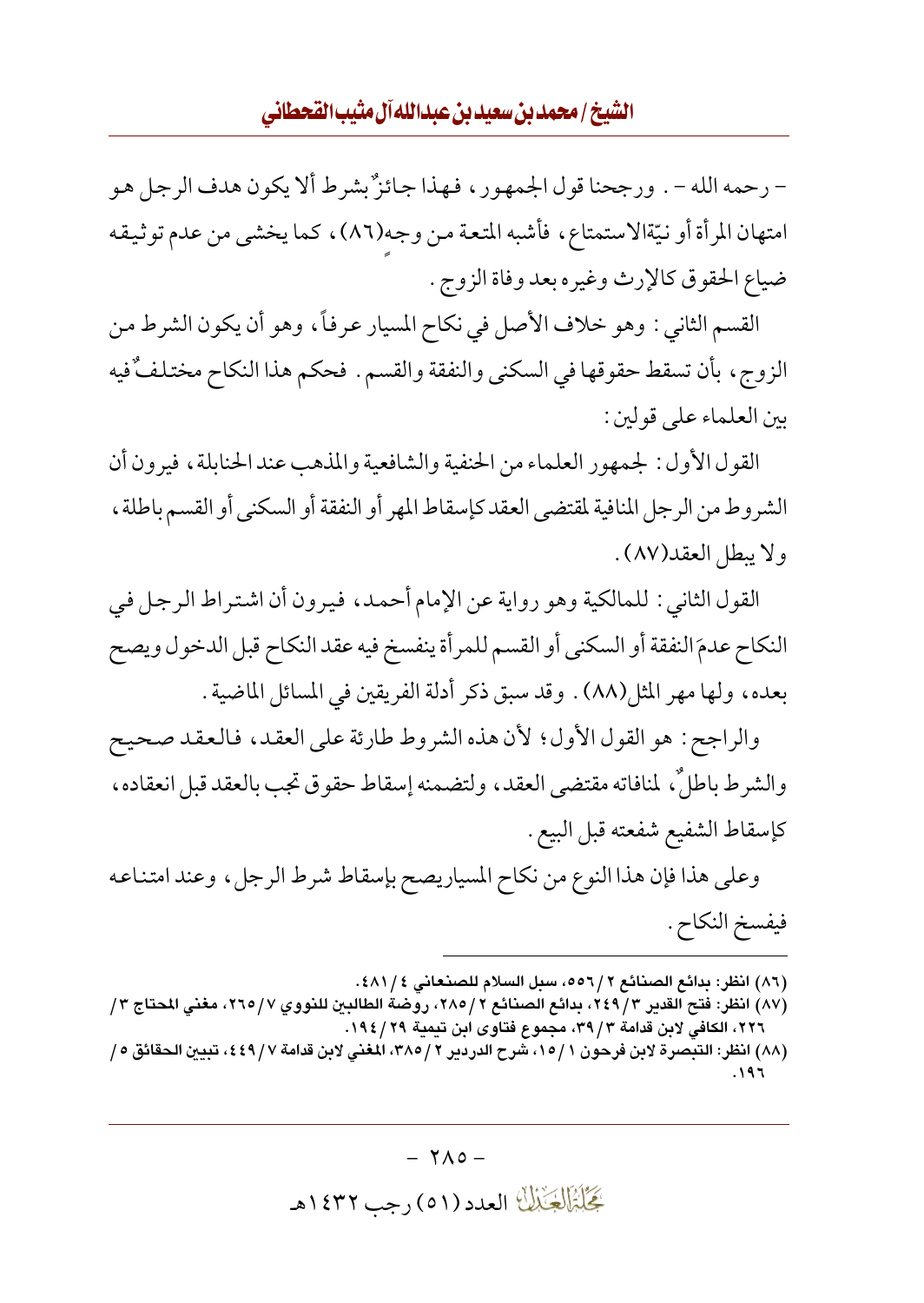– رحمه الله – . ورجحنا قول الجمهور ، فهذا جائزٌ بشرط ألا يكون هدف الرجل هو امتهان المرأة أو نيّةالاستمتاع، فأشبه المتعة من وجه(٨٦)، كما يخشى من عدم توثيقه ضياع الحقوق كالإرث وغيره بعد وفاة الزوج .

القسم الثاني : وهو خلاف الأصل في نكاح المسيار عرفاً، وهو أن يكون الشرط من الزوج، بأن تسقط حقوقها في السكني والنفقة والقسم . فحكم هذا النكاح مختلفٌ فيه بين العلماء على قولين:

القول الأول : لجمهور العلماء من الحنفية والشافعية والمذهب عند الحنابلة ، فيرون أن الشر وط من الر جل المنافية لمقتضى العقد كإسقاط المهر أو النفقة أو السكني أو القسم باطلة ، ولا يبطل العقد(٨٧).

القول الثاني : للمالكية وهو رواية عن الإمام أحمد، فيرون أن اشتراط الرجل في النكاح عدمَ النفقة أو السكني أو القسم للمرأة ينفسخ فيه عقد النكاح قبل الدخول ويصح بعده، ولها مهر المثل(٨٨) . وقد سبق ذكر أدلة الفريقين في المسائل الماضية .

والراجح: هو القول الأول؛ لأن هذه الشروط طارئة على العقد، فالعقد صحيح والشرط باطلٌ، لمنافاته مقتضى العقد، ولتضمنه إسقاط حقوق تجب بالعقد قبل انعقاده، كإسقاط الشفيع شفعته قبل البيع .

وعلى هذا فإن هذا النوع من نكاح المسياريصح بإسقاط شرط الرجل، وعند امتناعه فيفسخ النكاح .

- (٨٦) انظر: بدائع الصنائع ٢ /٥٥٦، سبل السلام للصنعاني ٤ / ٤٨١.
- (٨٧) انظر: فتح القدير ٣/ ٢٤٩، بدائع الصنائع ٢ / ٢٨٥، روِّضة الطالبن للنووي ٢٦٥ / ٢٦٥، مغنى المحتاج ٣ / ٢٢٦، الكافي لابن قدامة ٣٩/٣، مجموع فتاوى ابن تيمية ١٩٤/٢٩.

 $-7\Lambda$ o -گِخَلِبْزَالِچَنْبُلُّ العدد (٥١) رجب ١٤٣٢هـ

<sup>(</sup>٨٨) انظر: التبصرة لابن فرحون ١٥/١١، شرح الدردير ٢ /٢٨٥، المغنى لابن قدامة ٤٤٩/٧ ، تبيين الحقائق ٥ / ۱۹۶.